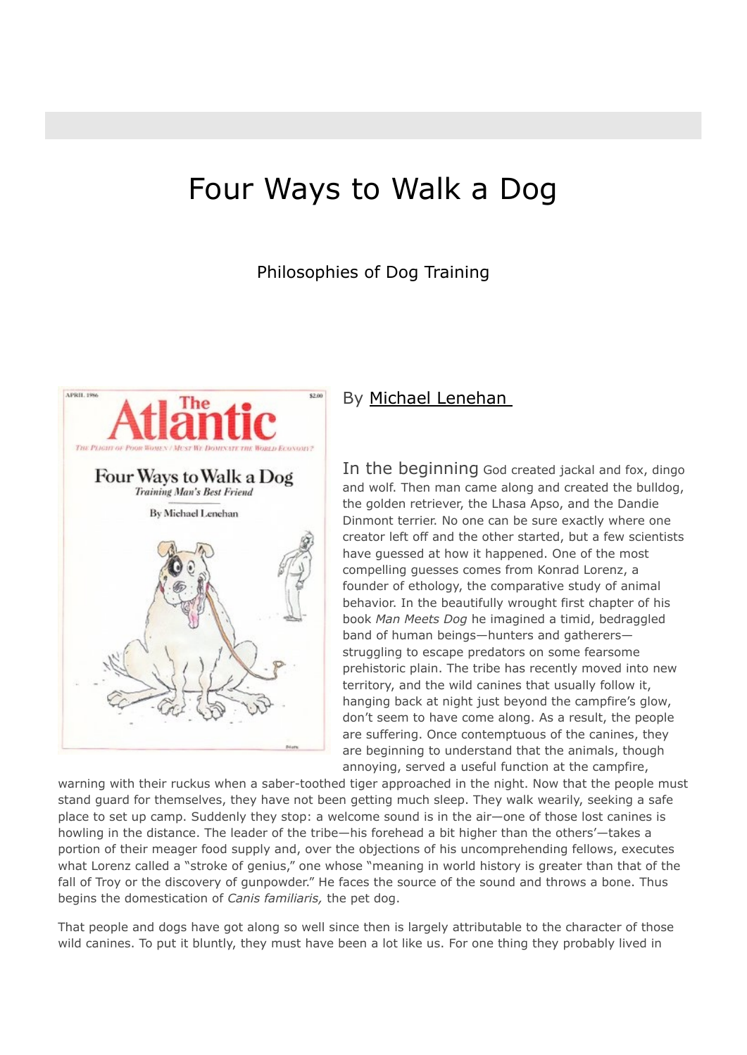# Four Ways to Walk a Dog

Philosophies of Dog Training



### By Michael Lenehan

In the beginning God created jackal and fox, dingo and wolf. Then man came along and created the bulldog, the golden retriever, the Lhasa Apso, and the Dandie Dinmont terrier. No one can be sure exactly where one creator left off and the other started, but a few scientists have guessed at how it happened. One of the most compelling guesses comes from Konrad Lorenz, a founder of ethology, the comparative study of animal behavior. In the beautifully wrought first chapter of his book *Man Meets Dog* he imagined a timid, bedraggled band of human beings—hunters and gatherers struggling to escape predators on some fearsome prehistoric plain. The tribe has recently moved into new territory, and the wild canines that usually follow it, hanging back at night just beyond the campfire's glow, don't seem to have come along. As a result, the people are suffering. Once contemptuous of the canines, they are beginning to understand that the animals, though annoying, served a useful function at the campfire,

warning with their ruckus when a saber-toothed tiger approached in the night. Now that the people must stand guard for themselves, they have not been getting much sleep. They walk wearily, seeking a safe place to set up camp. Suddenly they stop: a welcome sound is in the air—one of those lost canines is howling in the distance. The leader of the tribe—his forehead a bit higher than the others'—takes a portion of their meager food supply and, over the objections of his uncomprehending fellows, executes what Lorenz called a "stroke of genius," one whose "meaning in world history is greater than that of the fall of Troy or the discovery of gunpowder." He faces the source of the sound and throws a bone. Thus begins the domestication of *Canis familiaris,* the pet dog.

That people and dogs have got along so well since then is largely attributable to the character of those wild canines. To put it bluntly, they must have been a lot like us. For one thing they probably lived in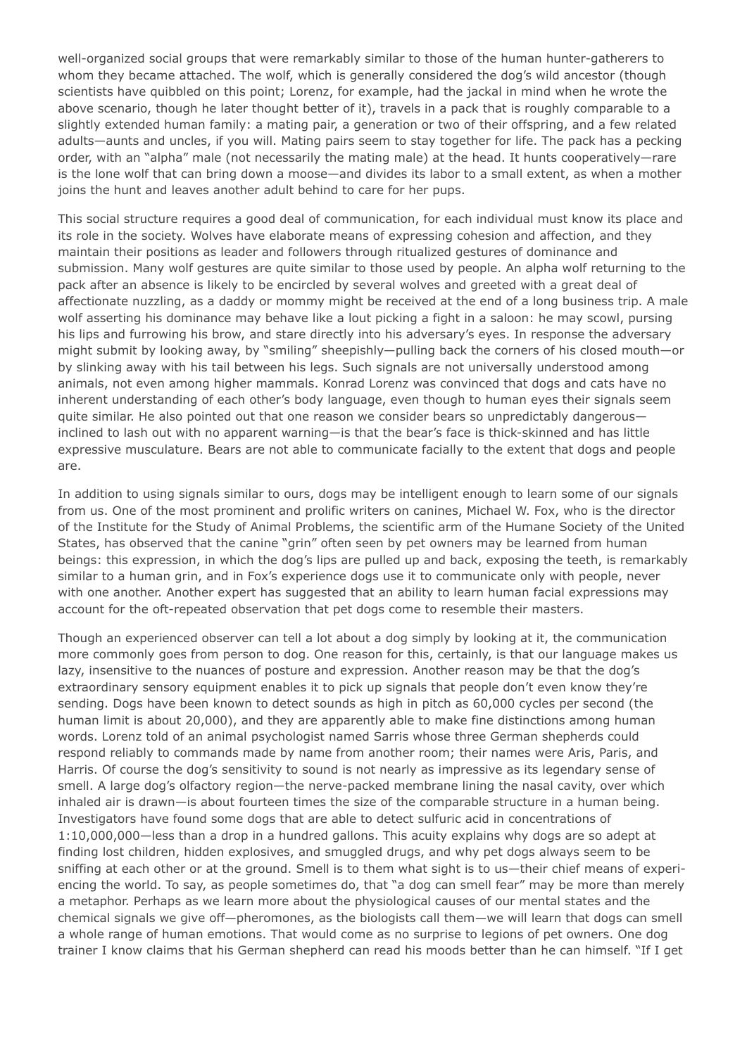well-organized social groups that were remarkably similar to those of the human hunter-gatherers to whom they became attached. The wolf, which is generally considered the dog's wild ancestor (though scientists have quibbled on this point; Lorenz, for example, had the jackal in mind when he wrote the above scenario, though he later thought better of it), travels in a pack that is roughly comparable to a slightly extended human family: a mating pair, a generation or two of their offspring, and a few related adults—aunts and uncles, if you will. Mating pairs seem to stay together for life. The pack has a pecking order, with an "alpha" male (not necessarily the mating male) at the head. It hunts cooperatively—rare is the lone wolf that can bring down a moose—and divides its labor to a small extent, as when a mother joins the hunt and leaves another adult behind to care for her pups.

This social structure requires a good deal of communication, for each individual must know its place and its role in the society. Wolves have elaborate means of expressing cohesion and affection, and they maintain their positions as leader and followers through ritualized gestures of dominance and submission. Many wolf gestures are quite similar to those used by people. An alpha wolf returning to the pack after an absence is likely to be encircled by several wolves and greeted with a great deal of affectionate nuzzling, as a daddy or mommy might be received at the end of a long business trip. A male wolf asserting his dominance may behave like a lout picking a fight in a saloon: he may scowl, pursing his lips and furrowing his brow, and stare directly into his adversary's eyes. In response the adversary might submit by looking away, by "smiling" sheepishly—pulling back the corners of his closed mouth—or by slinking away with his tail between his legs. Such signals are not universally understood among animals, not even among higher mammals. Konrad Lorenz was convinced that dogs and cats have no inherent understanding of each other's body language, even though to human eyes their signals seem quite similar. He also pointed out that one reason we consider bears so unpredictably dangerous inclined to lash out with no apparent warning—is that the bear's face is thick-skinned and has little expressive musculature. Bears are not able to communicate facially to the extent that dogs and people are.

In addition to using signals similar to ours, dogs may be intelligent enough to learn some of our signals from us. One of the most prominent and prolific writers on canines, Michael W. Fox, who is the director of the Institute for the Study of Animal Problems, the scientific arm of the Humane Society of the United States, has observed that the canine "grin" often seen by pet owners may be learned from human beings: this expression, in which the dog's lips are pulled up and back, exposing the teeth, is remarkably similar to a human grin, and in Fox's experience dogs use it to communicate only with people, never with one another. Another expert has suggested that an ability to learn human facial expressions may account for the oft-repeated observation that pet dogs come to resemble their masters.

Though an experienced observer can tell a lot about a dog simply by looking at it, the communication more commonly goes from person to dog. One reason for this, certainly, is that our language makes us lazy, insensitive to the nuances of posture and expression. Another reason may be that the dog's extraordinary sensory equipment enables it to pick up signals that people don't even know they're sending. Dogs have been known to detect sounds as high in pitch as 60,000 cycles per second (the human limit is about 20,000), and they are apparently able to make fine distinctions among human words. Lorenz told of an animal psychologist named Sarris whose three German shepherds could respond reliably to commands made by name from another room; their names were Aris, Paris, and Harris. Of course the dog's sensitivity to sound is not nearly as impressive as its legendary sense of smell. A large dog's olfactory region—the nerve-packed membrane lining the nasal cavity, over which inhaled air is drawn—is about fourteen times the size of the comparable structure in a human being. Investigators have found some dogs that are able to detect sulfuric acid in concentrations of 1:10,000,000—less than a drop in a hundred gallons. This acuity explains why dogs are so adept at finding lost children, hidden explosives, and smuggled drugs, and why pet dogs always seem to be sniffing at each other or at the ground. Smell is to them what sight is to us—their chief means of experiencing the world. To say, as people sometimes do, that "a dog can smell fear" may be more than merely a metaphor. Perhaps as we learn more about the physiological causes of our mental states and the chemical signals we give off—pheromones, as the biologists call them—we will learn that dogs can smell a whole range of human emotions. That would come as no surprise to legions of pet owners. One dog trainer I know claims that his German shepherd can read his moods better than he can himself. "If I get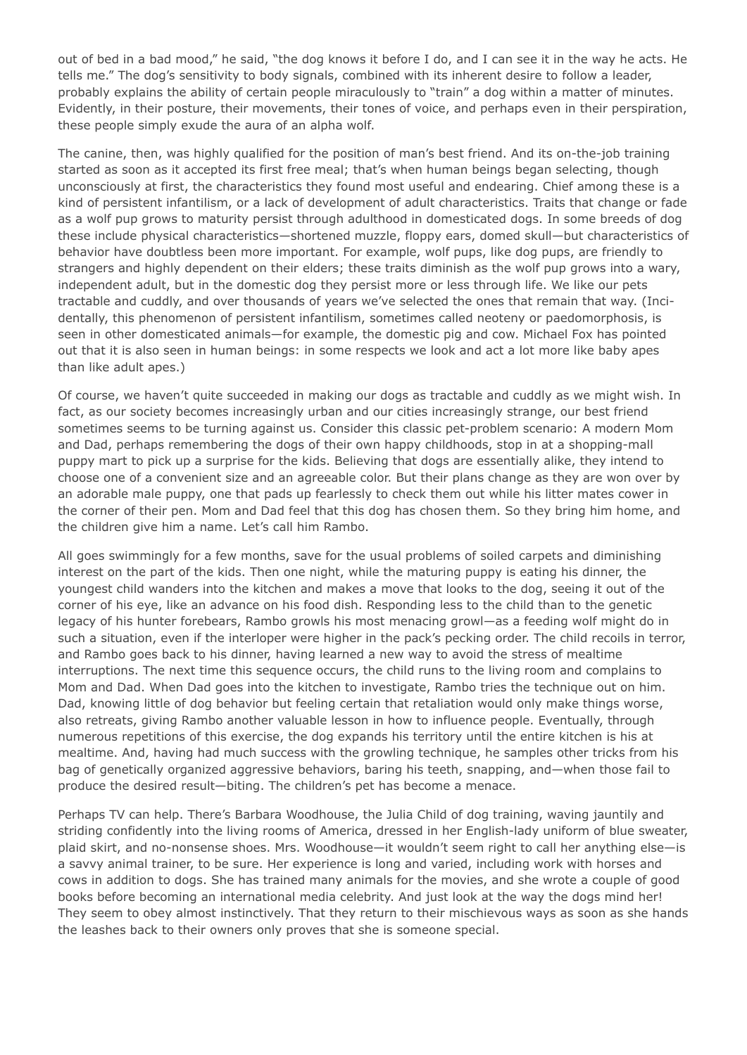out of bed in a bad mood," he said, "the dog knows it before I do, and I can see it in the way he acts. He tells me." The dog's sensitivity to body signals, combined with its inherent desire to follow a leader, probably explains the ability of certain people miraculously to "train" a dog within a matter of minutes. Evidently, in their posture, their movements, their tones of voice, and perhaps even in their perspiration, these people simply exude the aura of an alpha wolf.

The canine, then, was highly qualified for the position of man's best friend. And its on-the-job training started as soon as it accepted its first free meal; that's when human beings began selecting, though unconsciously at first, the characteristics they found most useful and endearing. Chief among these is a kind of persistent infantilism, or a lack of development of adult characteristics. Traits that change or fade as a wolf pup grows to maturity persist through adulthood in domesticated dogs. In some breeds of dog these include physical characteristics—shortened muzzle, floppy ears, domed skull—but characteristics of behavior have doubtless been more important. For example, wolf pups, like dog pups, are friendly to strangers and highly dependent on their elders; these traits diminish as the wolf pup grows into a wary, independent adult, but in the domestic dog they persist more or less through life. We like our pets tractable and cuddly, and over thousands of years we've selected the ones that remain that way. (Incidentally, this phenomenon of persistent infantilism, sometimes called neoteny or paedomorphosis, is seen in other domesticated animals—for example, the domestic pig and cow. Michael Fox has pointed out that it is also seen in human beings: in some respects we look and act a lot more like baby apes than like adult apes.)

Of course, we haven't quite succeeded in making our dogs as tractable and cuddly as we might wish. In fact, as our society becomes increasingly urban and our cities increasingly strange, our best friend sometimes seems to be turning against us. Consider this classic pet-problem scenario: A modern Mom and Dad, perhaps remembering the dogs of their own happy childhoods, stop in at a shopping-mall puppy mart to pick up a surprise for the kids. Believing that dogs are essentially alike, they intend to choose one of a convenient size and an agreeable color. But their plans change as they are won over by an adorable male puppy, one that pads up fearlessly to check them out while his litter mates cower in the corner of their pen. Mom and Dad feel that this dog has chosen them. So they bring him home, and the children give him a name. Let's call him Rambo.

All goes swimmingly for a few months, save for the usual problems of soiled carpets and diminishing interest on the part of the kids. Then one night, while the maturing puppy is eating his dinner, the youngest child wanders into the kitchen and makes a move that looks to the dog, seeing it out of the corner of his eye, like an advance on his food dish. Responding less to the child than to the genetic legacy of his hunter forebears, Rambo growls his most menacing growl—as a feeding wolf might do in such a situation, even if the interloper were higher in the pack's pecking order. The child recoils in terror, and Rambo goes back to his dinner, having learned a new way to avoid the stress of mealtime interruptions. The next time this sequence occurs, the child runs to the living room and complains to Mom and Dad. When Dad goes into the kitchen to investigate, Rambo tries the technique out on him. Dad, knowing little of dog behavior but feeling certain that retaliation would only make things worse, also retreats, giving Rambo another valuable lesson in how to influence people. Eventually, through numerous repetitions of this exercise, the dog expands his territory until the entire kitchen is his at mealtime. And, having had much success with the growling technique, he samples other tricks from his bag of genetically organized aggressive behaviors, baring his teeth, snapping, and—when those fail to produce the desired result—biting. The children's pet has become a menace.

Perhaps TV can help. There's Barbara Woodhouse, the Julia Child of dog training, waving jauntily and striding confidently into the living rooms of America, dressed in her English-lady uniform of blue sweater, plaid skirt, and no-nonsense shoes. Mrs. Woodhouse—it wouldn't seem right to call her anything else—is a savvy animal trainer, to be sure. Her experience is long and varied, including work with horses and cows in addition to dogs. She has trained many animals for the movies, and she wrote a couple of good books before becoming an international media celebrity. And just look at the way the dogs mind her! They seem to obey almost instinctively. That they return to their mischievous ways as soon as she hands the leashes back to their owners only proves that she is someone special.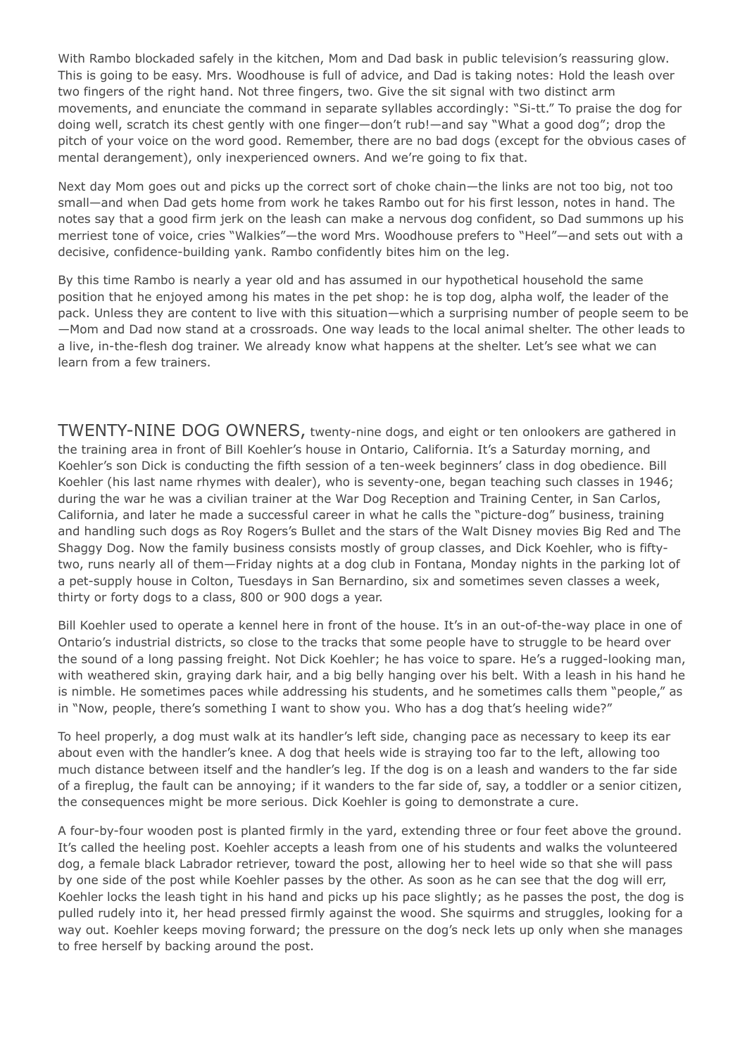With Rambo blockaded safely in the kitchen, Mom and Dad bask in public television's reassuring glow. This is going to be easy. Mrs. Woodhouse is full of advice, and Dad is taking notes: Hold the leash over two fingers of the right hand. Not three fingers, two. Give the sit signal with two distinct arm movements, and enunciate the command in separate syllables accordingly: "Si-tt." To praise the dog for doing well, scratch its chest gently with one finger—don't rub!—and say "What a good dog"; drop the pitch of your voice on the word good. Remember, there are no bad dogs (except for the obvious cases of mental derangement), only inexperienced owners. And we're going to fix that.

Next day Mom goes out and picks up the correct sort of choke chain—the links are not too big, not too small—and when Dad gets home from work he takes Rambo out for his first lesson, notes in hand. The notes say that a good firm jerk on the leash can make a nervous dog confident, so Dad summons up his merriest tone of voice, cries "Walkies"—the word Mrs. Woodhouse prefers to "Heel"—and sets out with a decisive, confidence-building yank. Rambo confidently bites him on the leg.

By this time Rambo is nearly a year old and has assumed in our hypothetical household the same position that he enjoyed among his mates in the pet shop: he is top dog, alpha wolf, the leader of the pack. Unless they are content to live with this situation—which a surprising number of people seem to be —Mom and Dad now stand at a crossroads. One way leads to the local animal shelter. The other leads to a live, in-the-flesh dog trainer. We already know what happens at the shelter. Let's see what we can learn from a few trainers.

TWENTY-NINE DOG OWNERS, twenty-nine dogs, and eight or ten onlookers are gathered in the training area in front of Bill Koehler's house in Ontario, California. It's a Saturday morning, and Koehler's son Dick is conducting the fifth session of a ten-week beginners' class in dog obedience. Bill Koehler (his last name rhymes with dealer), who is seventy-one, began teaching such classes in 1946; during the war he was a civilian trainer at the War Dog Reception and Training Center, in San Carlos, California, and later he made a successful career in what he calls the "picture-dog" business, training and handling such dogs as Roy Rogers's Bullet and the stars of the Walt Disney movies Big Red and The Shaggy Dog. Now the family business consists mostly of group classes, and Dick Koehler, who is fiftytwo, runs nearly all of them—Friday nights at a dog club in Fontana, Monday nights in the parking lot of a pet-supply house in Colton, Tuesdays in San Bernardino, six and sometimes seven classes a week, thirty or forty dogs to a class, 800 or 900 dogs a year.

Bill Koehler used to operate a kennel here in front of the house. It's in an out-of-the-way place in one of Ontario's industrial districts, so close to the tracks that some people have to struggle to be heard over the sound of a long passing freight. Not Dick Koehler; he has voice to spare. He's a rugged-looking man, with weathered skin, graying dark hair, and a big belly hanging over his belt. With a leash in his hand he is nimble. He sometimes paces while addressing his students, and he sometimes calls them "people," as in "Now, people, there's something I want to show you. Who has a dog that's heeling wide?"

To heel properly, a dog must walk at its handler's left side, changing pace as necessary to keep its ear about even with the handler's knee. A dog that heels wide is straying too far to the left, allowing too much distance between itself and the handler's leg. If the dog is on a leash and wanders to the far side of a fireplug, the fault can be annoying; if it wanders to the far side of, say, a toddler or a senior citizen, the consequences might be more serious. Dick Koehler is going to demonstrate a cure.

A four-by-four wooden post is planted firmly in the yard, extending three or four feet above the ground. It's called the heeling post. Koehler accepts a leash from one of his students and walks the volunteered dog, a female black Labrador retriever, toward the post, allowing her to heel wide so that she will pass by one side of the post while Koehler passes by the other. As soon as he can see that the dog will err, Koehler locks the leash tight in his hand and picks up his pace slightly; as he passes the post, the dog is pulled rudely into it, her head pressed firmly against the wood. She squirms and struggles, looking for a way out. Koehler keeps moving forward; the pressure on the dog's neck lets up only when she manages to free herself by backing around the post.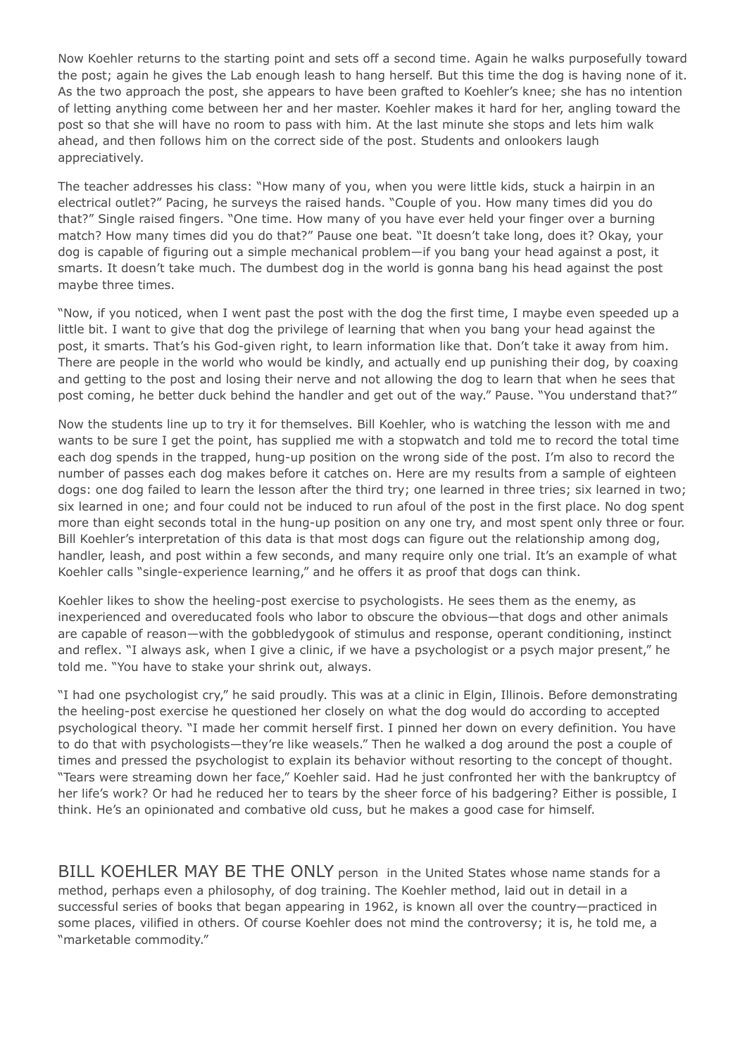Now Koehler returns to the starting point and sets off a second time. Again he walks purposefully toward the post; again he gives the Lab enough leash to hang herself. But this time the dog is having none of it. As the two approach the post, she appears to have been grafted to Koehler's knee; she has no intention of letting anything come between her and her master. Koehler makes it hard for her, angling toward the post so that she will have no room to pass with him. At the last minute she stops and lets him walk ahead, and then follows him on the correct side of the post. Students and onlookers laugh appreciatively.

The teacher addresses his class: "How many of you, when you were little kids, stuck a hairpin in an electrical outlet?" Pacing, he surveys the raised hands. "Couple of you. How many times did you do that?" Single raised fingers. "One time. How many of you have ever held your finger over a burning match? How many times did you do that?" Pause one beat. "It doesn't take long, does it? Okay, your dog is capable of figuring out a simple mechanical problem—if you bang your head against a post, it smarts. It doesn't take much. The dumbest dog in the world is gonna bang his head against the post maybe three times.

"Now, if you noticed, when I went past the post with the dog the first time, I maybe even speeded up a little bit. I want to give that dog the privilege of learning that when you bang your head against the post, it smarts. That's his God-given right, to learn information like that. Don't take it away from him. There are people in the world who would be kindly, and actually end up punishing their dog, by coaxing and getting to the post and losing their nerve and not allowing the dog to learn that when he sees that post coming, he better duck behind the handler and get out of the way." Pause. "You understand that?"

Now the students line up to try it for themselves. Bill Koehler, who is watching the lesson with me and wants to be sure I get the point, has supplied me with a stopwatch and told me to record the total time each dog spends in the trapped, hung-up position on the wrong side of the post. I'm also to record the number of passes each dog makes before it catches on. Here are my results from a sample of eighteen dogs: one dog failed to learn the lesson after the third try; one learned in three tries; six learned in two; six learned in one; and four could not be induced to run afoul of the post in the first place. No dog spent more than eight seconds total in the hung-up position on any one try, and most spent only three or four. Bill Koehler's interpretation of this data is that most dogs can figure out the relationship among dog, handler, leash, and post within a few seconds, and many require only one trial. It's an example of what Koehler calls "single-experience learning," and he offers it as proof that dogs can think.

Koehler likes to show the heeling-post exercise to psychologists. He sees them as the enemy, as inexperienced and overeducated fools who labor to obscure the obvious—that dogs and other animals are capable of reason—with the gobbledygook of stimulus and response, operant conditioning, instinct and reflex. "I always ask, when I give a clinic, if we have a psychologist or a psych major present," he told me. "You have to stake your shrink out, always.

"I had one psychologist cry," he said proudly. This was at a clinic in Elgin, Illinois. Before demonstrating the heeling-post exercise he questioned her closely on what the dog would do according to accepted psychological theory. "I made her commit herself first. I pinned her down on every definition. You have to do that with psychologists—they're like weasels." Then he walked a dog around the post a couple of times and pressed the psychologist to explain its behavior without resorting to the concept of thought. "Tears were streaming down her face," Koehler said. Had he just confronted her with the bankruptcy of her life's work? Or had he reduced her to tears by the sheer force of his badgering? Either is possible, I think. He's an opinionated and combative old cuss, but he makes a good case for himself.

BILL KOEHLER MAY BE THE ONLY person in the United States whose name stands for a method, perhaps even a philosophy, of dog training. The Koehler method, laid out in detail in a successful series of books that began appearing in 1962, is known all over the country—practiced in some places, vilified in others. Of course Koehler does not mind the controversy; it is, he told me, a "marketable commodity."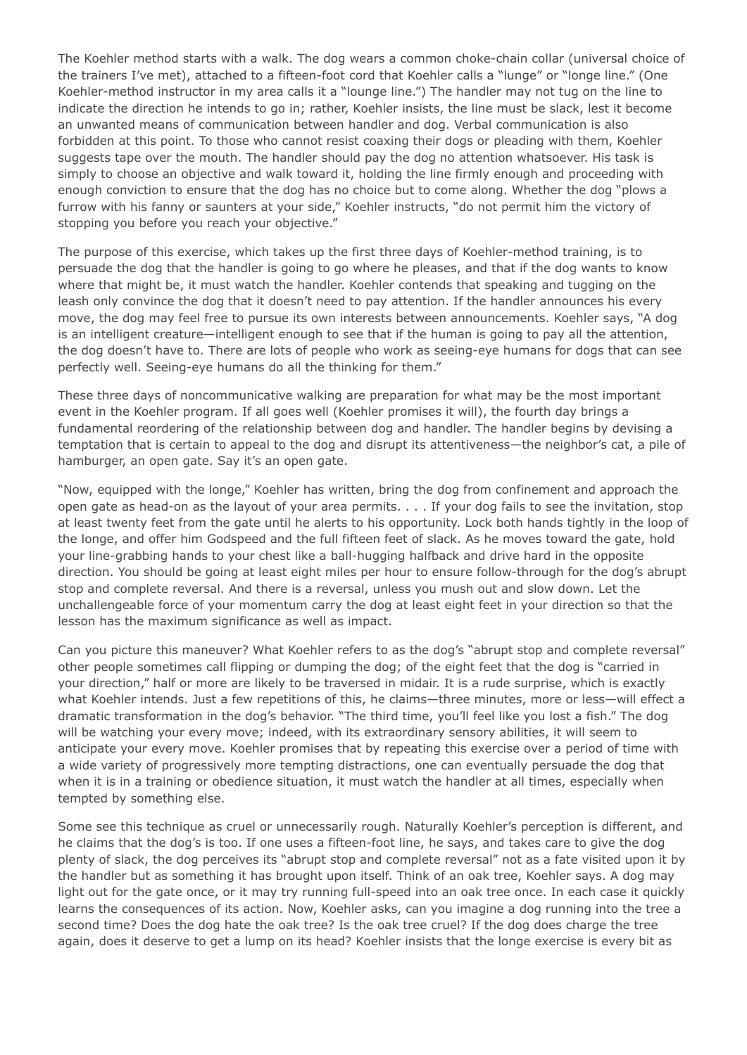The Koehler method starts with a walk. The dog wears a common choke-chain collar (universal choice of the trainers I've met), attached to a fifteen-foot cord that Koehler calls a "lunge" or "longe line." (One Koehler-method instructor in my area calls it a "lounge line.") The handler may not tug on the line to indicate the direction he intends to go in; rather, Koehler insists, the line must be slack, lest it become an unwanted means of communication between handler and dog. Verbal communication is also forbidden at this point. To those who cannot resist coaxing their dogs or pleading with them, Koehler suggests tape over the mouth. The handler should pay the dog no attention whatsoever. His task is simply to choose an objective and walk toward it, holding the line firmly enough and proceeding with enough conviction to ensure that the dog has no choice but to come along. Whether the dog "plows a furrow with his fanny or saunters at your side," Koehler instructs, "do not permit him the victory of stopping you before you reach your objective."

The purpose of this exercise, which takes up the first three days of Koehler-method training, is to persuade the dog that the handler is going to go where he pleases, and that if the dog wants to know where that might be, it must watch the handler. Koehler contends that speaking and tugging on the leash only convince the dog that it doesn't need to pay attention. If the handler announces his every move, the dog may feel free to pursue its own interests between announcements. Koehler says, "A dog is an intelligent creature—intelligent enough to see that if the human is going to pay all the attention, the dog doesn't have to. There are lots of people who work as seeing-eye humans for dogs that can see perfectly well. Seeing-eye humans do all the thinking for them."

These three days of noncommunicative walking are preparation for what may be the most important event in the Koehler program. If all goes well (Koehler promises it will), the fourth day brings a fundamental reordering of the relationship between dog and handler. The handler begins by devising a temptation that is certain to appeal to the dog and disrupt its attentiveness—the neighbor's cat, a pile of hamburger, an open gate. Say it's an open gate.

"Now, equipped with the longe," Koehler has written, bring the dog from confinement and approach the open gate as head-on as the layout of your area permits. . . . If your dog fails to see the invitation, stop at least twenty feet from the gate until he alerts to his opportunity. Lock both hands tightly in the loop of the longe, and offer him Godspeed and the full fifteen feet of slack. As he moves toward the gate, hold your line-grabbing hands to your chest like a ball-hugging halfback and drive hard in the opposite direction. You should be going at least eight miles per hour to ensure follow-through for the dog's abrupt stop and complete reversal. And there is a reversal, unless you mush out and slow down. Let the unchallengeable force of your momentum carry the dog at least eight feet in your direction so that the lesson has the maximum significance as well as impact.

Can you picture this maneuver? What Koehler refers to as the dog's "abrupt stop and complete reversal" other people sometimes call flipping or dumping the dog; of the eight feet that the dog is "carried in your direction," half or more are likely to be traversed in midair. It is a rude surprise, which is exactly what Koehler intends. Just a few repetitions of this, he claims—three minutes, more or less—will effect a dramatic transformation in the dog's behavior. "The third time, you'll feel like you lost a fish." The dog will be watching your every move; indeed, with its extraordinary sensory abilities, it will seem to anticipate your every move. Koehler promises that by repeating this exercise over a period of time with a wide variety of progressively more tempting distractions, one can eventually persuade the dog that when it is in a training or obedience situation, it must watch the handler at all times, especially when tempted by something else.

Some see this technique as cruel or unnecessarily rough. Naturally Koehler's perception is different, and he claims that the dog's is too. If one uses a fifteen-foot line, he says, and takes care to give the dog plenty of slack, the dog perceives its "abrupt stop and complete reversal" not as a fate visited upon it by the handler but as something it has brought upon itself. Think of an oak tree, Koehler says. A dog may light out for the gate once, or it may try running full-speed into an oak tree once. In each case it quickly learns the consequences of its action. Now, Koehler asks, can you imagine a dog running into the tree a second time? Does the dog hate the oak tree? Is the oak tree cruel? If the dog does charge the tree again, does it deserve to get a lump on its head? Koehler insists that the longe exercise is every bit as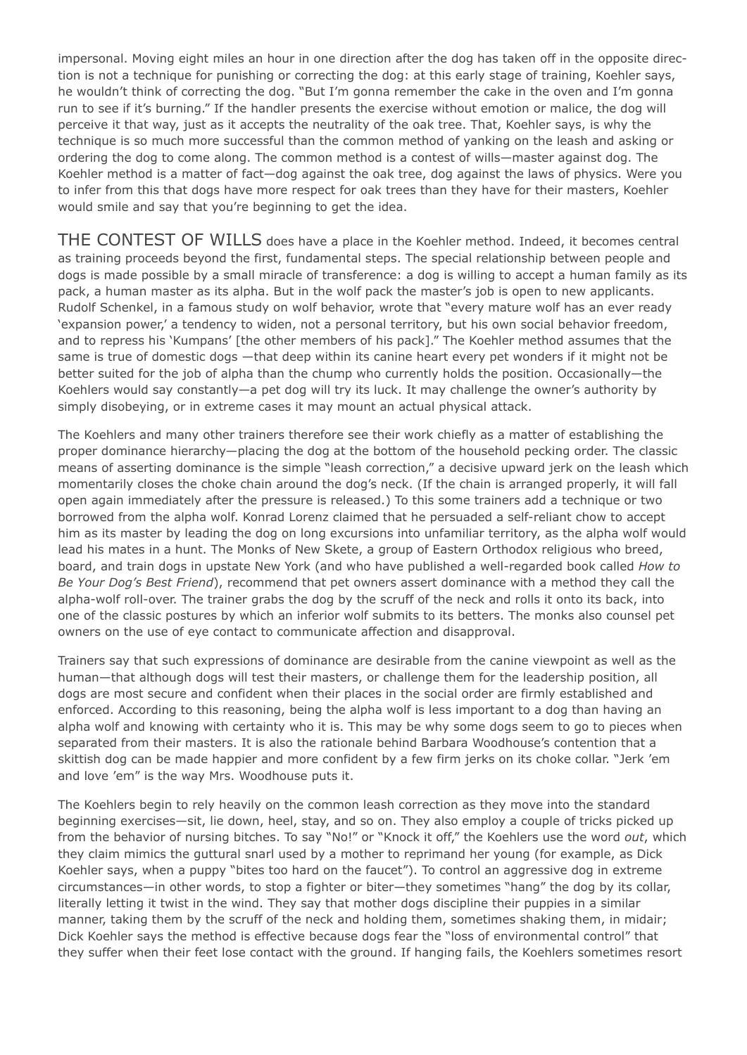impersonal. Moving eight miles an hour in one direction after the dog has taken off in the opposite direction is not a technique for punishing or correcting the dog: at this early stage of training, Koehler says, he wouldn't think of correcting the dog. "But I'm gonna remember the cake in the oven and I'm gonna run to see if it's burning." If the handler presents the exercise without emotion or malice, the dog will perceive it that way, just as it accepts the neutrality of the oak tree. That, Koehler says, is why the technique is so much more successful than the common method of yanking on the leash and asking or ordering the dog to come along. The common method is a contest of wills—master against dog. The Koehler method is a matter of fact—dog against the oak tree, dog against the laws of physics. Were you to infer from this that dogs have more respect for oak trees than they have for their masters, Koehler would smile and say that you're beginning to get the idea.

THE CONTEST OF WILLS does have a place in the Koehler method. Indeed, it becomes central as training proceeds beyond the first, fundamental steps. The special relationship between people and dogs is made possible by a small miracle of transference: a dog is willing to accept a human family as its pack, a human master as its alpha. But in the wolf pack the master's job is open to new applicants. Rudolf Schenkel, in a famous study on wolf behavior, wrote that "every mature wolf has an ever ready 'expansion power,' a tendency to widen, not a personal territory, but his own social behavior freedom, and to repress his 'Kumpans' [the other members of his pack]." The Koehler method assumes that the same is true of domestic dogs —that deep within its canine heart every pet wonders if it might not be better suited for the job of alpha than the chump who currently holds the position. Occasionally—the Koehlers would say constantly—a pet dog will try its luck. It may challenge the owner's authority by simply disobeying, or in extreme cases it may mount an actual physical attack.

The Koehlers and many other trainers therefore see their work chiefly as a matter of establishing the proper dominance hierarchy—placing the dog at the bottom of the household pecking order. The classic means of asserting dominance is the simple "leash correction," a decisive upward jerk on the leash which momentarily closes the choke chain around the dog's neck. (If the chain is arranged properly, it will fall open again immediately after the pressure is released.) To this some trainers add a technique or two borrowed from the alpha wolf. Konrad Lorenz claimed that he persuaded a self-reliant chow to accept him as its master by leading the dog on long excursions into unfamiliar territory, as the alpha wolf would lead his mates in a hunt. The Monks of New Skete, a group of Eastern Orthodox religious who breed, board, and train dogs in upstate New York (and who have published a well-regarded book called *How to Be Your Dog's Best Friend*), recommend that pet owners assert dominance with a method they call the alpha-wolf roll-over. The trainer grabs the dog by the scruff of the neck and rolls it onto its back, into one of the classic postures by which an inferior wolf submits to its betters. The monks also counsel pet owners on the use of eye contact to communicate affection and disapproval.

Trainers say that such expressions of dominance are desirable from the canine viewpoint as well as the human—that although dogs will test their masters, or challenge them for the leadership position, all dogs are most secure and confident when their places in the social order are firmly established and enforced. According to this reasoning, being the alpha wolf is less important to a dog than having an alpha wolf and knowing with certainty who it is. This may be why some dogs seem to go to pieces when separated from their masters. It is also the rationale behind Barbara Woodhouse's contention that a skittish dog can be made happier and more confident by a few firm jerks on its choke collar. "Jerk 'em and love 'em" is the way Mrs. Woodhouse puts it.

The Koehlers begin to rely heavily on the common leash correction as they move into the standard beginning exercises—sit, lie down, heel, stay, and so on. They also employ a couple of tricks picked up from the behavior of nursing bitches. To say "No!" or "Knock it off," the Koehlers use the word *out*, which they claim mimics the guttural snarl used by a mother to reprimand her young (for example, as Dick Koehler says, when a puppy "bites too hard on the faucet"). To control an aggressive dog in extreme circumstances—in other words, to stop a fighter or biter—they sometimes "hang" the dog by its collar, literally letting it twist in the wind. They say that mother dogs discipline their puppies in a similar manner, taking them by the scruff of the neck and holding them, sometimes shaking them, in midair; Dick Koehler says the method is effective because dogs fear the "loss of environmental control" that they suffer when their feet lose contact with the ground. If hanging fails, the Koehlers sometimes resort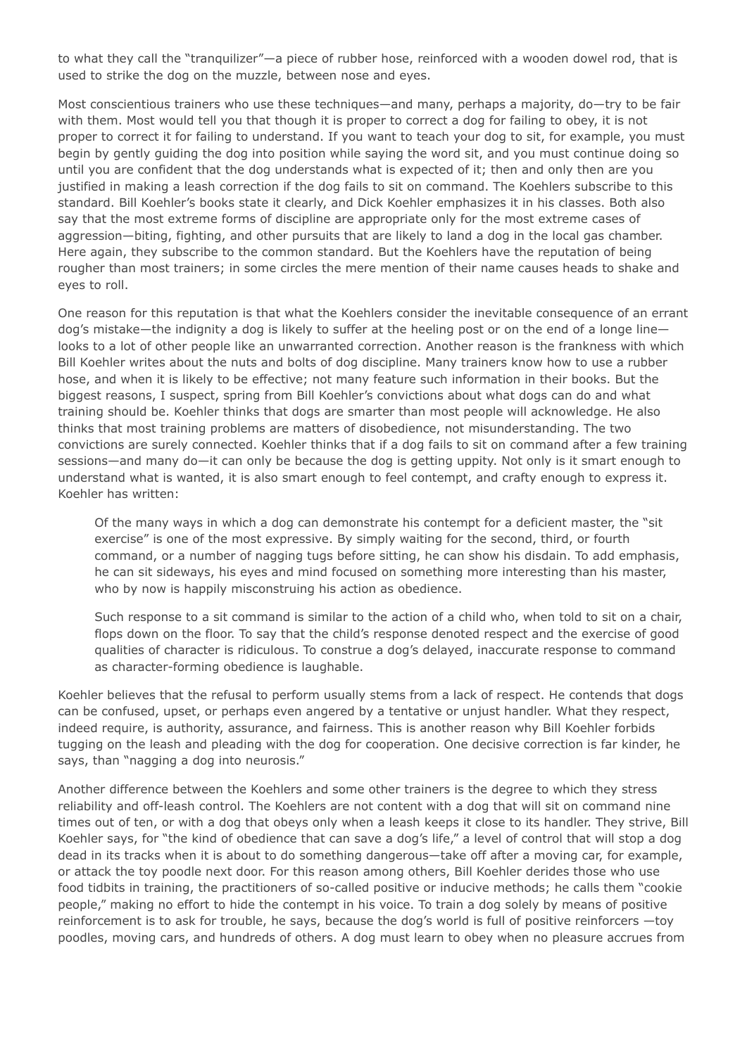to what they call the "tranquilizer"—a piece of rubber hose, reinforced with a wooden dowel rod, that is used to strike the dog on the muzzle, between nose and eyes.

Most conscientious trainers who use these techniques—and many, perhaps a majority, do—try to be fair with them. Most would tell you that though it is proper to correct a dog for failing to obey, it is not proper to correct it for failing to understand. If you want to teach your dog to sit, for example, you must begin by gently guiding the dog into position while saying the word sit, and you must continue doing so until you are confident that the dog understands what is expected of it; then and only then are you justified in making a leash correction if the dog fails to sit on command. The Koehlers subscribe to this standard. Bill Koehler's books state it clearly, and Dick Koehler emphasizes it in his classes. Both also say that the most extreme forms of discipline are appropriate only for the most extreme cases of aggression—biting, fighting, and other pursuits that are likely to land a dog in the local gas chamber. Here again, they subscribe to the common standard. But the Koehlers have the reputation of being rougher than most trainers; in some circles the mere mention of their name causes heads to shake and eyes to roll.

One reason for this reputation is that what the Koehlers consider the inevitable consequence of an errant dog's mistake—the indignity a dog is likely to suffer at the heeling post or on the end of a longe line looks to a lot of other people like an unwarranted correction. Another reason is the frankness with which Bill Koehler writes about the nuts and bolts of dog discipline. Many trainers know how to use a rubber hose, and when it is likely to be effective; not many feature such information in their books. But the biggest reasons, I suspect, spring from Bill Koehler's convictions about what dogs can do and what training should be. Koehler thinks that dogs are smarter than most people will acknowledge. He also thinks that most training problems are matters of disobedience, not misunderstanding. The two convictions are surely connected. Koehler thinks that if a dog fails to sit on command after a few training sessions—and many do—it can only be because the dog is getting uppity. Not only is it smart enough to understand what is wanted, it is also smart enough to feel contempt, and crafty enough to express it. Koehler has written:

Of the many ways in which a dog can demonstrate his contempt for a deficient master, the "sit exercise" is one of the most expressive. By simply waiting for the second, third, or fourth command, or a number of nagging tugs before sitting, he can show his disdain. To add emphasis, he can sit sideways, his eyes and mind focused on something more interesting than his master, who by now is happily misconstruing his action as obedience.

Such response to a sit command is similar to the action of a child who, when told to sit on a chair, flops down on the floor. To say that the child's response denoted respect and the exercise of good qualities of character is ridiculous. To construe a dog's delayed, inaccurate response to command as character-forming obedience is laughable.

Koehler believes that the refusal to perform usually stems from a lack of respect. He contends that dogs can be confused, upset, or perhaps even angered by a tentative or unjust handler. What they respect, indeed require, is authority, assurance, and fairness. This is another reason why Bill Koehler forbids tugging on the leash and pleading with the dog for cooperation. One decisive correction is far kinder, he says, than "nagging a dog into neurosis."

Another difference between the Koehlers and some other trainers is the degree to which they stress reliability and off-leash control. The Koehlers are not content with a dog that will sit on command nine times out of ten, or with a dog that obeys only when a leash keeps it close to its handler. They strive, Bill Koehler says, for "the kind of obedience that can save a dog's life," a level of control that will stop a dog dead in its tracks when it is about to do something dangerous—take off after a moving car, for example, or attack the toy poodle next door. For this reason among others, Bill Koehler derides those who use food tidbits in training, the practitioners of so-called positive or inducive methods; he calls them "cookie people," making no effort to hide the contempt in his voice. To train a dog solely by means of positive reinforcement is to ask for trouble, he says, because the dog's world is full of positive reinforcers —toy poodles, moving cars, and hundreds of others. A dog must learn to obey when no pleasure accrues from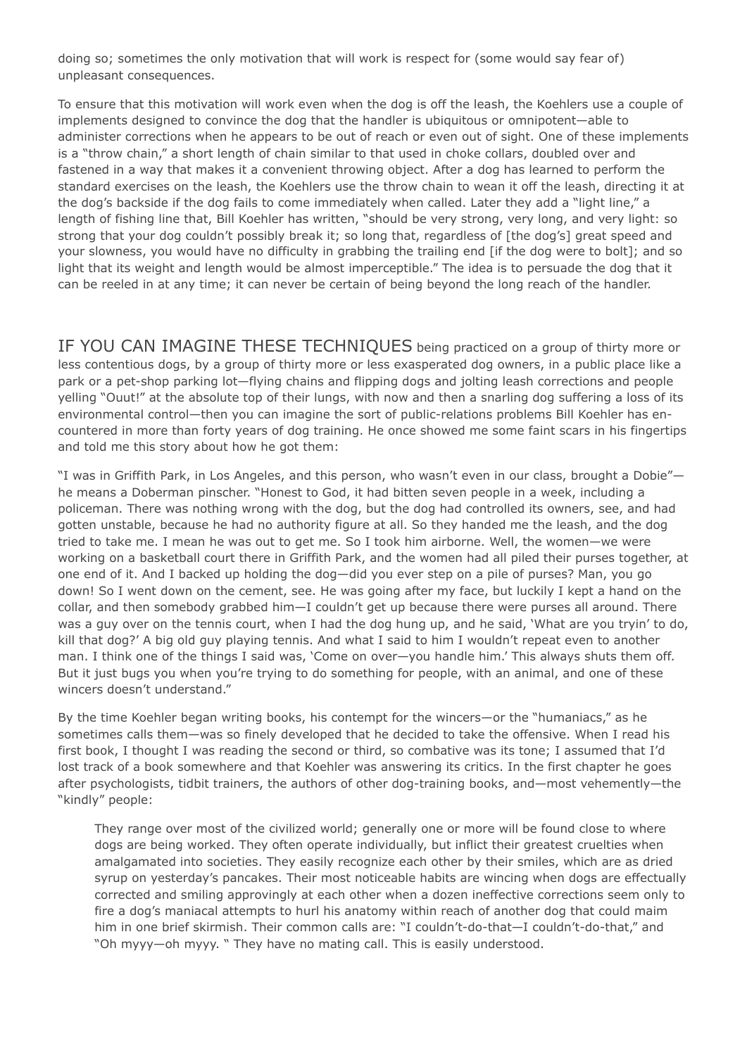doing so; sometimes the only motivation that will work is respect for (some would say fear of) unpleasant consequences.

To ensure that this motivation will work even when the dog is off the leash, the Koehlers use a couple of implements designed to convince the dog that the handler is ubiquitous or omnipotent—able to administer corrections when he appears to be out of reach or even out of sight. One of these implements is a "throw chain," a short length of chain similar to that used in choke collars, doubled over and fastened in a way that makes it a convenient throwing object. After a dog has learned to perform the standard exercises on the leash, the Koehlers use the throw chain to wean it off the leash, directing it at the dog's backside if the dog fails to come immediately when called. Later they add a "light line," a length of fishing line that, Bill Koehler has written, "should be very strong, very long, and very light: so strong that your dog couldn't possibly break it; so long that, regardless of [the dog's] great speed and your slowness, you would have no difficulty in grabbing the trailing end [if the dog were to bolt]; and so light that its weight and length would be almost imperceptible." The idea is to persuade the dog that it can be reeled in at any time; it can never be certain of being beyond the long reach of the handler.

IF YOU CAN IMAGINE THESE TECHNIQUES being practiced on a group of thirty more or less contentious dogs, by a group of thirty more or less exasperated dog owners, in a public place like a park or a pet-shop parking lot—flying chains and flipping dogs and jolting leash corrections and people yelling "Ouut!" at the absolute top of their lungs, with now and then a snarling dog suffering a loss of its environmental control—then you can imagine the sort of public-relations problems Bill Koehler has encountered in more than forty years of dog training. He once showed me some faint scars in his fingertips and told me this story about how he got them:

"I was in Griffith Park, in Los Angeles, and this person, who wasn't even in our class, brought a Dobie" he means a Doberman pinscher. "Honest to God, it had bitten seven people in a week, including a policeman. There was nothing wrong with the dog, but the dog had controlled its owners, see, and had gotten unstable, because he had no authority figure at all. So they handed me the leash, and the dog tried to take me. I mean he was out to get me. So I took him airborne. Well, the women—we were working on a basketball court there in Griffith Park, and the women had all piled their purses together, at one end of it. And I backed up holding the dog—did you ever step on a pile of purses? Man, you go down! So I went down on the cement, see. He was going after my face, but luckily I kept a hand on the collar, and then somebody grabbed him—I couldn't get up because there were purses all around. There was a guy over on the tennis court, when I had the dog hung up, and he said, 'What are you tryin' to do, kill that dog?' A big old guy playing tennis. And what I said to him I wouldn't repeat even to another man. I think one of the things I said was, 'Come on over—you handle him.' This always shuts them off. But it just bugs you when you're trying to do something for people, with an animal, and one of these wincers doesn't understand."

By the time Koehler began writing books, his contempt for the wincers—or the "humaniacs," as he sometimes calls them—was so finely developed that he decided to take the offensive. When I read his first book, I thought I was reading the second or third, so combative was its tone; I assumed that I'd lost track of a book somewhere and that Koehler was answering its critics. In the first chapter he goes after psychologists, tidbit trainers, the authors of other dog-training books, and—most vehemently—the "kindly" people:

They range over most of the civilized world; generally one or more will be found close to where dogs are being worked. They often operate individually, but inflict their greatest cruelties when amalgamated into societies. They easily recognize each other by their smiles, which are as dried syrup on yesterday's pancakes. Their most noticeable habits are wincing when dogs are effectually corrected and smiling approvingly at each other when a dozen ineffective corrections seem only to fire a dog's maniacal attempts to hurl his anatomy within reach of another dog that could maim him in one brief skirmish. Their common calls are: "I couldn't-do-that—I couldn't-do-that," and "Oh myyy—oh myyy. " They have no mating call. This is easily understood.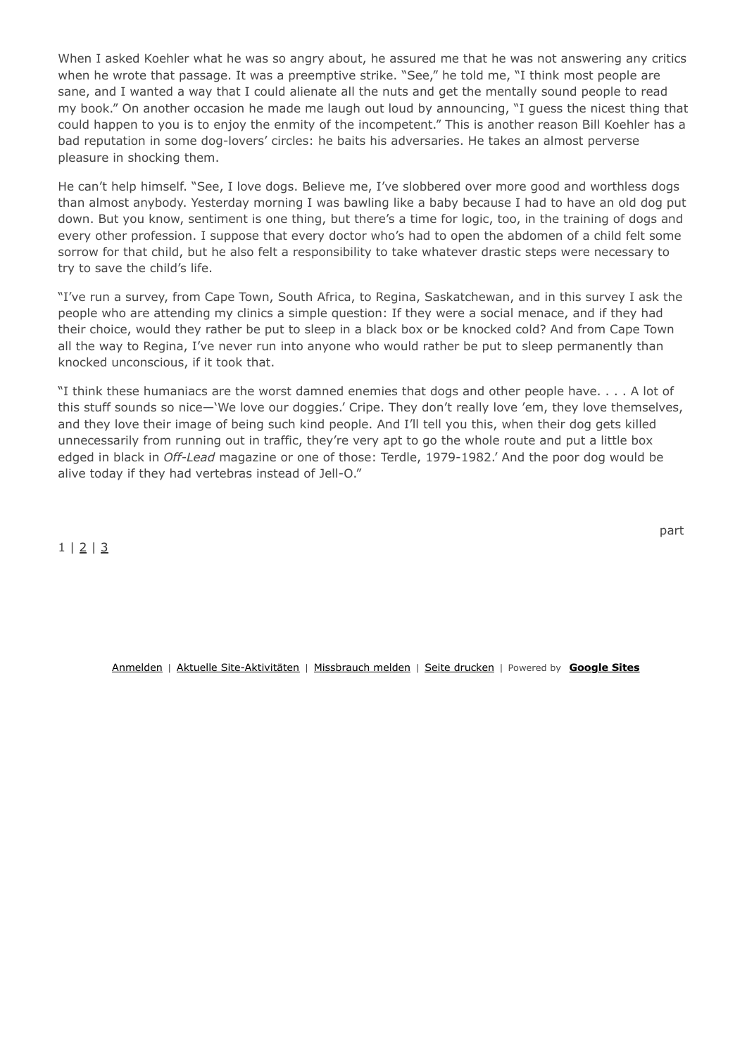When I asked Koehler what he was so angry about, he assured me that he was not answering any critics when he wrote that passage. It was a preemptive strike. "See," he told me, "I think most people are sane, and I wanted a way that I could alienate all the nuts and get the mentally sound people to read my book." On another occasion he made me laugh out loud by announcing, "I guess the nicest thing that could happen to you is to enjoy the enmity of the incompetent." This is another reason Bill Koehler has a bad reputation in some dog-lovers' circles: he baits his adversaries. He takes an almost perverse pleasure in shocking them.

He can't help himself. "See, I love dogs. Believe me, I've slobbered over more good and worthless dogs than almost anybody. Yesterday morning I was bawling like a baby because I had to have an old dog put down. But you know, sentiment is one thing, but there's a time for logic, too, in the training of dogs and every other profession. I suppose that every doctor who's had to open the abdomen of a child felt some sorrow for that child, but he also felt a responsibility to take whatever drastic steps were necessary to try to save the child's life.

"I've run a survey, from Cape Town, South Africa, to Regina, Saskatchewan, and in this survey I ask the people who are attending my clinics a simple question: If they were a social menace, and if they had their choice, would they rather be put to sleep in a black box or be knocked cold? And from Cape Town all the way to Regina, I've never run into anyone who would rather be put to sleep permanently than knocked unconscious, if it took that.

"I think these humaniacs are the worst damned enemies that dogs and other people have. . . . A lot of this stuff sounds so nice—'We love our doggies.' Cripe. They don't really love 'em, they love themselves, and they love their image of being such kind people. And I'll tell you this, when their dog gets killed unnecessarily from running out in traffic, they're very apt to go the whole route and put a little box edged in black in *Off-Lead* magazine or one of those: Terdle, 1979-1982.' And the poor dog would be alive today if they had vertebras instead of Jell-O."

 $1 | 2 | 3$ 

Anmelden | Aktuelle Site-Aktivitäten | Missbrauch melden | Seite drucken | Powered by **Google Sites**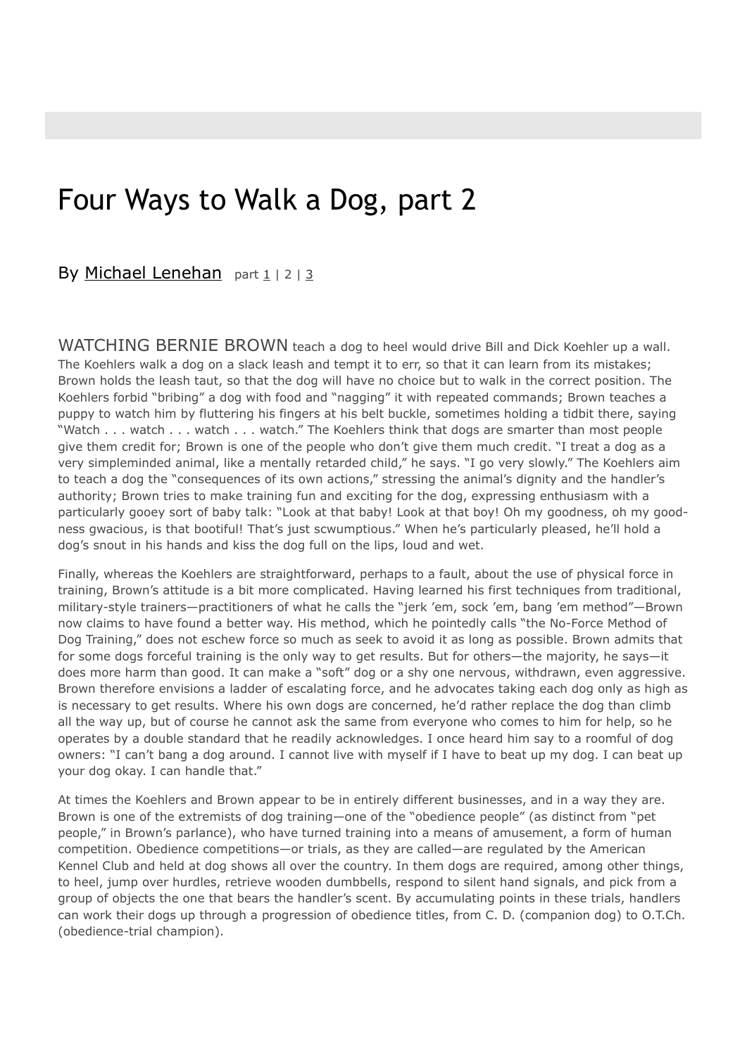### Four Ways to Walk a Dog, part 2

#### By Michael Lenehan part 1 | 2 | 3

WATCHING BERNIE BROWN teach a dog to heel would drive Bill and Dick Koehler up a wall. The Koehlers walk a dog on a slack leash and tempt it to err, so that it can learn from its mistakes; Brown holds the leash taut, so that the dog will have no choice but to walk in the correct position. The Koehlers forbid "bribing" a dog with food and "nagging" it with repeated commands; Brown teaches a puppy to watch him by fluttering his fingers at his belt buckle, sometimes holding a tidbit there, saying "Watch . . . watch . . . watch . . . watch." The Koehlers think that dogs are smarter than most people give them credit for; Brown is one of the people who don't give them much credit. "I treat a dog as a very simpleminded animal, like a mentally retarded child," he says. "I go very slowly." The Koehlers aim to teach a dog the "consequences of its own actions," stressing the animal's dignity and the handler's authority; Brown tries to make training fun and exciting for the dog, expressing enthusiasm with a particularly gooey sort of baby talk: "Look at that baby! Look at that boy! Oh my goodness, oh my goodness gwacious, is that bootiful! That's just scwumptious." When he's particularly pleased, he'll hold a dog's snout in his hands and kiss the dog full on the lips, loud and wet.

Finally, whereas the Koehlers are straightforward, perhaps to a fault, about the use of physical force in training, Brown's attitude is a bit more complicated. Having learned his first techniques from traditional, military-style trainers—practitioners of what he calls the "jerk 'em, sock 'em, bang 'em method"—Brown now claims to have found a better way. His method, which he pointedly calls "the No-Force Method of Dog Training," does not eschew force so much as seek to avoid it as long as possible. Brown admits that for some dogs forceful training is the only way to get results. But for others—the majority, he says—it does more harm than good. It can make a "soft" dog or a shy one nervous, withdrawn, even aggressive. Brown therefore envisions a ladder of escalating force, and he advocates taking each dog only as high as is necessary to get results. Where his own dogs are concerned, he'd rather replace the dog than climb all the way up, but of course he cannot ask the same from everyone who comes to him for help, so he operates by a double standard that he readily acknowledges. I once heard him say to a roomful of dog owners: "I can't bang a dog around. I cannot live with myself if I have to beat up my dog. I can beat up your dog okay. I can handle that."

At times the Koehlers and Brown appear to be in entirely different businesses, and in a way they are. Brown is one of the extremists of dog training—one of the "obedience people" (as distinct from "pet people," in Brown's parlance), who have turned training into a means of amusement, a form of human competition. Obedience competitions—or trials, as they are called—are regulated by the American Kennel Club and held at dog shows all over the country. In them dogs are required, among other things, to heel, jump over hurdles, retrieve wooden dumbbells, respond to silent hand signals, and pick from a group of objects the one that bears the handler's scent. By accumulating points in these trials, handlers can work their dogs up through a progression of obedience titles, from C. D. (companion dog) to O.T.Ch. (obedience-trial champion).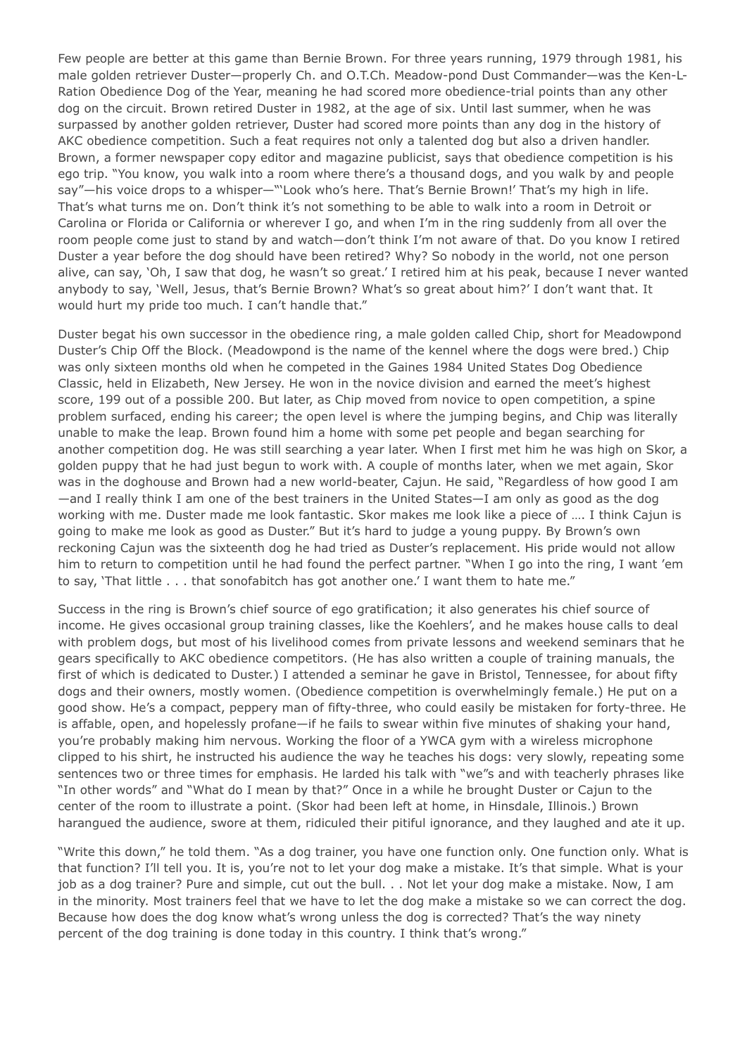Few people are better at this game than Bernie Brown. For three years running, 1979 through 1981, his male golden retriever Duster—properly Ch. and O.T.Ch. Meadow-pond Dust Commander—was the Ken-L-Ration Obedience Dog of the Year, meaning he had scored more obedience-trial points than any other dog on the circuit. Brown retired Duster in 1982, at the age of six. Until last summer, when he was surpassed by another golden retriever, Duster had scored more points than any dog in the history of AKC obedience competition. Such a feat requires not only a talented dog but also a driven handler. Brown, a former newspaper copy editor and magazine publicist, says that obedience competition is his ego trip. "You know, you walk into a room where there's a thousand dogs, and you walk by and people say"—his voice drops to a whisper—""Look who's here. That's Bernie Brown!' That's my high in life. That's what turns me on. Don't think it's not something to be able to walk into a room in Detroit or Carolina or Florida or California or wherever I go, and when I'm in the ring suddenly from all over the room people come just to stand by and watch—don't think I'm not aware of that. Do you know I retired Duster a year before the dog should have been retired? Why? So nobody in the world, not one person alive, can say, 'Oh, I saw that dog, he wasn't so great.' I retired him at his peak, because I never wanted anybody to say, 'Well, Jesus, that's Bernie Brown? What's so great about him?' I don't want that. It would hurt my pride too much. I can't handle that."

Duster begat his own successor in the obedience ring, a male golden called Chip, short for Meadowpond Duster's Chip Off the Block. (Meadowpond is the name of the kennel where the dogs were bred.) Chip was only sixteen months old when he competed in the Gaines 1984 United States Dog Obedience Classic, held in Elizabeth, New Jersey. He won in the novice division and earned the meet's highest score, 199 out of a possible 200. But later, as Chip moved from novice to open competition, a spine problem surfaced, ending his career; the open level is where the jumping begins, and Chip was literally unable to make the leap. Brown found him a home with some pet people and began searching for another competition dog. He was still searching a year later. When I first met him he was high on Skor, a golden puppy that he had just begun to work with. A couple of months later, when we met again, Skor was in the doghouse and Brown had a new world-beater, Cajun. He said, "Regardless of how good I am —and I really think I am one of the best trainers in the United States—I am only as good as the dog working with me. Duster made me look fantastic. Skor makes me look like a piece of …. I think Cajun is going to make me look as good as Duster." But it's hard to judge a young puppy. By Brown's own reckoning Cajun was the sixteenth dog he had tried as Duster's replacement. His pride would not allow him to return to competition until he had found the perfect partner. "When I go into the ring, I want 'em to say, 'That little . . . that sonofabitch has got another one.' I want them to hate me."

Success in the ring is Brown's chief source of ego gratification; it also generates his chief source of income. He gives occasional group training classes, like the Koehlers', and he makes house calls to deal with problem dogs, but most of his livelihood comes from private lessons and weekend seminars that he gears specifically to AKC obedience competitors. (He has also written a couple of training manuals, the first of which is dedicated to Duster.) I attended a seminar he gave in Bristol, Tennessee, for about fifty dogs and their owners, mostly women. (Obedience competition is overwhelmingly female.) He put on a good show. He's a compact, peppery man of fifty-three, who could easily be mistaken for forty-three. He is affable, open, and hopelessly profane—if he fails to swear within five minutes of shaking your hand, you're probably making him nervous. Working the floor of a YWCA gym with a wireless microphone clipped to his shirt, he instructed his audience the way he teaches his dogs: very slowly, repeating some sentences two or three times for emphasis. He larded his talk with "we"s and with teacherly phrases like "In other words" and "What do I mean by that?" Once in a while he brought Duster or Cajun to the center of the room to illustrate a point. (Skor had been left at home, in Hinsdale, Illinois.) Brown harangued the audience, swore at them, ridiculed their pitiful ignorance, and they laughed and ate it up.

"Write this down," he told them. "As a dog trainer, you have one function only. One function only. What is that function? I'll tell you. It is, you're not to let your dog make a mistake. It's that simple. What is your job as a dog trainer? Pure and simple, cut out the bull. . . Not let your dog make a mistake. Now, I am in the minority. Most trainers feel that we have to let the dog make a mistake so we can correct the dog. Because how does the dog know what's wrong unless the dog is corrected? That's the way ninety percent of the dog training is done today in this country. I think that's wrong."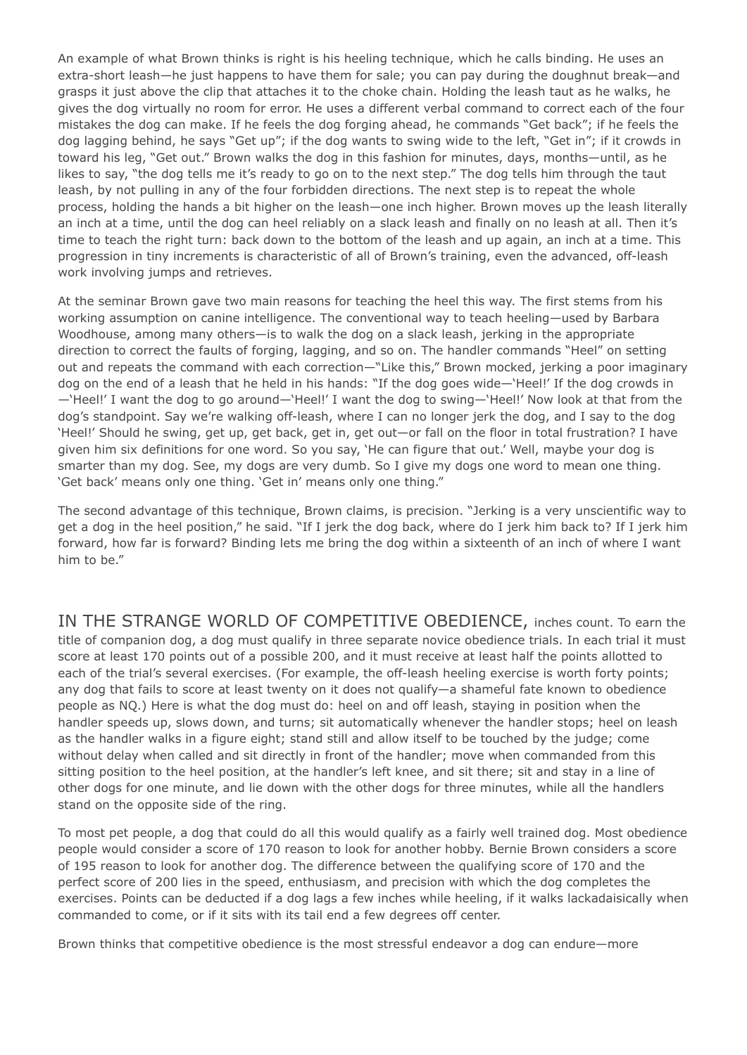An example of what Brown thinks is right is his heeling technique, which he calls binding. He uses an extra-short leash—he just happens to have them for sale; you can pay during the doughnut break—and grasps it just above the clip that attaches it to the choke chain. Holding the leash taut as he walks, he gives the dog virtually no room for error. He uses a different verbal command to correct each of the four mistakes the dog can make. If he feels the dog forging ahead, he commands "Get back"; if he feels the dog lagging behind, he says "Get up"; if the dog wants to swing wide to the left, "Get in"; if it crowds in toward his leg, "Get out." Brown walks the dog in this fashion for minutes, days, months—until, as he likes to say, "the dog tells me it's ready to go on to the next step." The dog tells him through the taut leash, by not pulling in any of the four forbidden directions. The next step is to repeat the whole process, holding the hands a bit higher on the leash—one inch higher. Brown moves up the leash literally an inch at a time, until the dog can heel reliably on a slack leash and finally on no leash at all. Then it's time to teach the right turn: back down to the bottom of the leash and up again, an inch at a time. This progression in tiny increments is characteristic of all of Brown's training, even the advanced, off-leash work involving jumps and retrieves.

At the seminar Brown gave two main reasons for teaching the heel this way. The first stems from his working assumption on canine intelligence. The conventional way to teach heeling—used by Barbara Woodhouse, among many others—is to walk the dog on a slack leash, jerking in the appropriate direction to correct the faults of forging, lagging, and so on. The handler commands "Heel" on setting out and repeats the command with each correction—"Like this," Brown mocked, jerking a poor imaginary dog on the end of a leash that he held in his hands: "If the dog goes wide—'Heel!' If the dog crowds in —'Heel!' I want the dog to go around—'Heel!' I want the dog to swing—'Heel!' Now look at that from the dog's standpoint. Say we're walking off-leash, where I can no longer jerk the dog, and I say to the dog 'Heel!' Should he swing, get up, get back, get in, get out—or fall on the floor in total frustration? I have given him six definitions for one word. So you say, 'He can figure that out.' Well, maybe your dog is smarter than my dog. See, my dogs are very dumb. So I give my dogs one word to mean one thing. 'Get back' means only one thing. 'Get in' means only one thing."

The second advantage of this technique, Brown claims, is precision. "Jerking is a very unscientific way to get a dog in the heel position," he said. "If I jerk the dog back, where do I jerk him back to? If I jerk him forward, how far is forward? Binding lets me bring the dog within a sixteenth of an inch of where I want him to be."

IN THE STRANGE WORLD OF COMPETITIVE OBEDIENCE, inches count. To earn the title of companion dog, a dog must qualify in three separate novice obedience trials. In each trial it must score at least 170 points out of a possible 200, and it must receive at least half the points allotted to each of the trial's several exercises. (For example, the off-leash heeling exercise is worth forty points; any dog that fails to score at least twenty on it does not qualify—a shameful fate known to obedience people as NQ.) Here is what the dog must do: heel on and off leash, staying in position when the handler speeds up, slows down, and turns; sit automatically whenever the handler stops; heel on leash as the handler walks in a figure eight; stand still and allow itself to be touched by the judge; come without delay when called and sit directly in front of the handler; move when commanded from this sitting position to the heel position, at the handler's left knee, and sit there; sit and stay in a line of other dogs for one minute, and lie down with the other dogs for three minutes, while all the handlers stand on the opposite side of the ring.

To most pet people, a dog that could do all this would qualify as a fairly well trained dog. Most obedience people would consider a score of 170 reason to look for another hobby. Bernie Brown considers a score of 195 reason to look for another dog. The difference between the qualifying score of 170 and the perfect score of 200 lies in the speed, enthusiasm, and precision with which the dog completes the exercises. Points can be deducted if a dog lags a few inches while heeling, if it walks lackadaisically when commanded to come, or if it sits with its tail end a few degrees off center.

Brown thinks that competitive obedience is the most stressful endeavor a dog can endure—more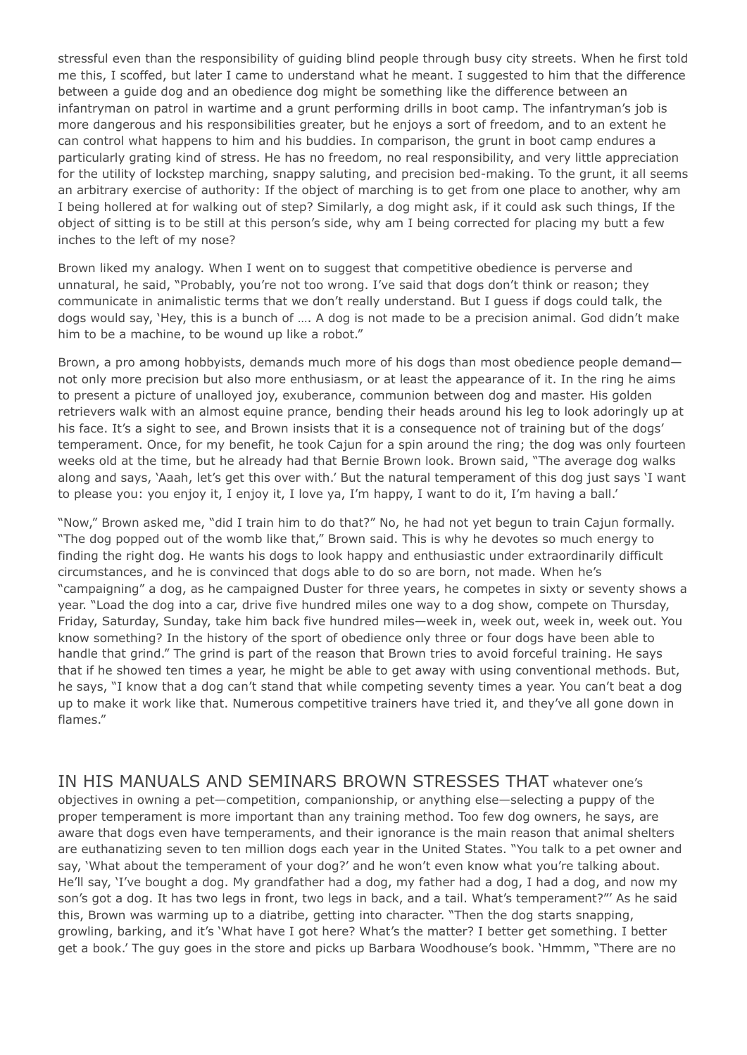stressful even than the responsibility of guiding blind people through busy city streets. When he first told me this, I scoffed, but later I came to understand what he meant. I suggested to him that the difference between a guide dog and an obedience dog might be something like the difference between an infantryman on patrol in wartime and a grunt performing drills in boot camp. The infantryman's job is more dangerous and his responsibilities greater, but he enjoys a sort of freedom, and to an extent he can control what happens to him and his buddies. In comparison, the grunt in boot camp endures a particularly grating kind of stress. He has no freedom, no real responsibility, and very little appreciation for the utility of lockstep marching, snappy saluting, and precision bed-making. To the grunt, it all seems an arbitrary exercise of authority: If the object of marching is to get from one place to another, why am I being hollered at for walking out of step? Similarly, a dog might ask, if it could ask such things, If the object of sitting is to be still at this person's side, why am I being corrected for placing my butt a few inches to the left of my nose?

Brown liked my analogy. When I went on to suggest that competitive obedience is perverse and unnatural, he said, "Probably, you're not too wrong. I've said that dogs don't think or reason; they communicate in animalistic terms that we don't really understand. But I guess if dogs could talk, the dogs would say, 'Hey, this is a bunch of …. A dog is not made to be a precision animal. God didn't make him to be a machine, to be wound up like a robot."

Brown, a pro among hobbyists, demands much more of his dogs than most obedience people demand not only more precision but also more enthusiasm, or at least the appearance of it. In the ring he aims to present a picture of unalloyed joy, exuberance, communion between dog and master. His golden retrievers walk with an almost equine prance, bending their heads around his leg to look adoringly up at his face. It's a sight to see, and Brown insists that it is a consequence not of training but of the dogs' temperament. Once, for my benefit, he took Cajun for a spin around the ring; the dog was only fourteen weeks old at the time, but he already had that Bernie Brown look. Brown said, "The average dog walks along and says, 'Aaah, let's get this over with.' But the natural temperament of this dog just says 'I want to please you: you enjoy it, I enjoy it, I love ya, I'm happy, I want to do it, I'm having a ball.'

"Now," Brown asked me, "did I train him to do that?" No, he had not yet begun to train Cajun formally. "The dog popped out of the womb like that," Brown said. This is why he devotes so much energy to finding the right dog. He wants his dogs to look happy and enthusiastic under extraordinarily difficult circumstances, and he is convinced that dogs able to do so are born, not made. When he's "campaigning" a dog, as he campaigned Duster for three years, he competes in sixty or seventy shows a year. "Load the dog into a car, drive five hundred miles one way to a dog show, compete on Thursday, Friday, Saturday, Sunday, take him back five hundred miles—week in, week out, week in, week out. You know something? In the history of the sport of obedience only three or four dogs have been able to handle that grind." The grind is part of the reason that Brown tries to avoid forceful training. He says that if he showed ten times a year, he might be able to get away with using conventional methods. But, he says, "I know that a dog can't stand that while competing seventy times a year. You can't beat a dog up to make it work like that. Numerous competitive trainers have tried it, and they've all gone down in flames."

IN HIS MANUALS AND SEMINARS BROWN STRESSES THAT whatever one's objectives in owning a pet—competition, companionship, or anything else—selecting a puppy of the proper temperament is more important than any training method. Too few dog owners, he says, are aware that dogs even have temperaments, and their ignorance is the main reason that animal shelters are euthanatizing seven to ten million dogs each year in the United States. "You talk to a pet owner and say, 'What about the temperament of your dog?' and he won't even know what you're talking about. He'll say, 'I've bought a dog. My grandfather had a dog, my father had a dog, I had a dog, and now my son's got a dog. It has two legs in front, two legs in back, and a tail. What's temperament?"' As he said this, Brown was warming up to a diatribe, getting into character. "Then the dog starts snapping, growling, barking, and it's 'What have I got here? What's the matter? I better get something. I better get a book.' The guy goes in the store and picks up Barbara Woodhouse's book. 'Hmmm, "There are no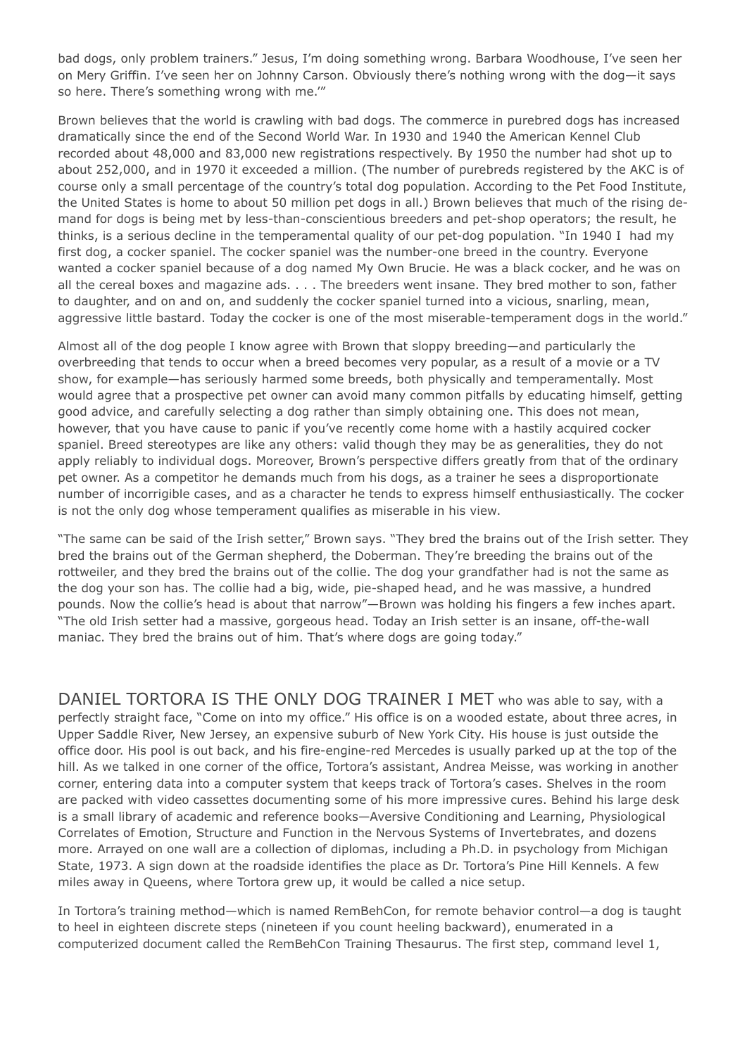bad dogs, only problem trainers." Jesus, I'm doing something wrong. Barbara Woodhouse, I've seen her on Mery Griffin. I've seen her on Johnny Carson. Obviously there's nothing wrong with the dog—it says so here. There's something wrong with me.'"

Brown believes that the world is crawling with bad dogs. The commerce in purebred dogs has increased dramatically since the end of the Second World War. In 1930 and 1940 the American Kennel Club recorded about 48,000 and 83,000 new registrations respectively. By 1950 the number had shot up to about 252,000, and in 1970 it exceeded a million. (The number of purebreds registered by the AKC is of course only a small percentage of the country's total dog population. According to the Pet Food Institute, the United States is home to about 50 million pet dogs in all.) Brown believes that much of the rising demand for dogs is being met by less-than-conscientious breeders and pet-shop operators; the result, he thinks, is a serious decline in the temperamental quality of our pet-dog population. "In 1940 I had my first dog, a cocker spaniel. The cocker spaniel was the number-one breed in the country. Everyone wanted a cocker spaniel because of a dog named My Own Brucie. He was a black cocker, and he was on all the cereal boxes and magazine ads. . . . The breeders went insane. They bred mother to son, father to daughter, and on and on, and suddenly the cocker spaniel turned into a vicious, snarling, mean, aggressive little bastard. Today the cocker is one of the most miserable-temperament dogs in the world."

Almost all of the dog people I know agree with Brown that sloppy breeding—and particularly the overbreeding that tends to occur when a breed becomes very popular, as a result of a movie or a TV show, for example—has seriously harmed some breeds, both physically and temperamentally. Most would agree that a prospective pet owner can avoid many common pitfalls by educating himself, getting good advice, and carefully selecting a dog rather than simply obtaining one. This does not mean, however, that you have cause to panic if you've recently come home with a hastily acquired cocker spaniel. Breed stereotypes are like any others: valid though they may be as generalities, they do not apply reliably to individual dogs. Moreover, Brown's perspective differs greatly from that of the ordinary pet owner. As a competitor he demands much from his dogs, as a trainer he sees a disproportionate number of incorrigible cases, and as a character he tends to express himself enthusiastically. The cocker is not the only dog whose temperament qualifies as miserable in his view.

"The same can be said of the Irish setter," Brown says. "They bred the brains out of the Irish setter. They bred the brains out of the German shepherd, the Doberman. They're breeding the brains out of the rottweiler, and they bred the brains out of the collie. The dog your grandfather had is not the same as the dog your son has. The collie had a big, wide, pie-shaped head, and he was massive, a hundred pounds. Now the collie's head is about that narrow"—Brown was holding his fingers a few inches apart. "The old Irish setter had a massive, gorgeous head. Today an Irish setter is an insane, off-the-wall maniac. They bred the brains out of him. That's where dogs are going today."

DANIEL TORTORA IS THE ONLY DOG TRAINER I MET who was able to say, with a perfectly straight face, "Come on into my office." His office is on a wooded estate, about three acres, in Upper Saddle River, New Jersey, an expensive suburb of New York City. His house is just outside the office door. His pool is out back, and his fire-engine-red Mercedes is usually parked up at the top of the hill. As we talked in one corner of the office, Tortora's assistant, Andrea Meisse, was working in another corner, entering data into a computer system that keeps track of Tortora's cases. Shelves in the room are packed with video cassettes documenting some of his more impressive cures. Behind his large desk is a small library of academic and reference books—Aversive Conditioning and Learning, Physiological Correlates of Emotion, Structure and Function in the Nervous Systems of Invertebrates, and dozens more. Arrayed on one wall are a collection of diplomas, including a Ph.D. in psychology from Michigan State, 1973. A sign down at the roadside identifies the place as Dr. Tortora's Pine Hill Kennels. A few miles away in Queens, where Tortora grew up, it would be called a nice setup.

In Tortora's training method—which is named RemBehCon, for remote behavior control—a dog is taught to heel in eighteen discrete steps (nineteen if you count heeling backward), enumerated in a computerized document called the RemBehCon Training Thesaurus. The first step, command level 1,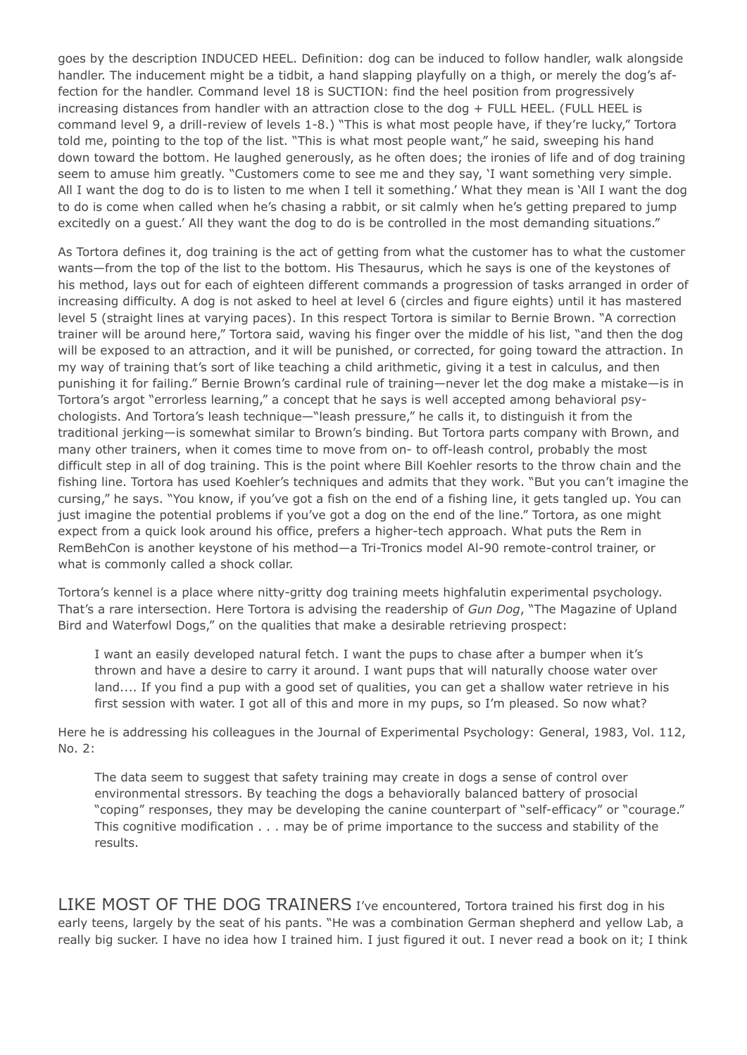goes by the description INDUCED HEEL. Definition: dog can be induced to follow handler, walk alongside handler. The inducement might be a tidbit, a hand slapping playfully on a thigh, or merely the dog's affection for the handler. Command level 18 is SUCTION: find the heel position from progressively increasing distances from handler with an attraction close to the dog + FULL HEEL. (FULL HEEL is command level 9, a drill-review of levels 1-8.) "This is what most people have, if they're lucky," Tortora told me, pointing to the top of the list. "This is what most people want," he said, sweeping his hand down toward the bottom. He laughed generously, as he often does; the ironies of life and of dog training seem to amuse him greatly. "Customers come to see me and they say, 'I want something very simple. All I want the dog to do is to listen to me when I tell it something.' What they mean is 'All I want the dog to do is come when called when he's chasing a rabbit, or sit calmly when he's getting prepared to jump excitedly on a guest.' All they want the dog to do is be controlled in the most demanding situations."

As Tortora defines it, dog training is the act of getting from what the customer has to what the customer wants—from the top of the list to the bottom. His Thesaurus, which he says is one of the keystones of his method, lays out for each of eighteen different commands a progression of tasks arranged in order of increasing difficulty. A dog is not asked to heel at level 6 (circles and figure eights) until it has mastered level 5 (straight lines at varying paces). In this respect Tortora is similar to Bernie Brown. "A correction trainer will be around here," Tortora said, waving his finger over the middle of his list, "and then the dog will be exposed to an attraction, and it will be punished, or corrected, for going toward the attraction. In my way of training that's sort of like teaching a child arithmetic, giving it a test in calculus, and then punishing it for failing." Bernie Brown's cardinal rule of training—never let the dog make a mistake—is in Tortora's argot "errorless learning," a concept that he says is well accepted among behavioral psychologists. And Tortora's leash technique—"leash pressure," he calls it, to distinguish it from the traditional jerking—is somewhat similar to Brown's binding. But Tortora parts company with Brown, and many other trainers, when it comes time to move from on- to off-leash control, probably the most difficult step in all of dog training. This is the point where Bill Koehler resorts to the throw chain and the fishing line. Tortora has used Koehler's techniques and admits that they work. "But you can't imagine the cursing," he says. "You know, if you've got a fish on the end of a fishing line, it gets tangled up. You can just imagine the potential problems if you've got a dog on the end of the line." Tortora, as one might expect from a quick look around his office, prefers a higher-tech approach. What puts the Rem in RemBehCon is another keystone of his method—a Tri-Tronics model Al-90 remote-control trainer, or what is commonly called a shock collar.

Tortora's kennel is a place where nitty-gritty dog training meets highfalutin experimental psychology. That's a rare intersection. Here Tortora is advising the readership of *Gun Dog*, "The Magazine of Upland Bird and Waterfowl Dogs," on the qualities that make a desirable retrieving prospect:

I want an easily developed natural fetch. I want the pups to chase after a bumper when it's thrown and have a desire to carry it around. I want pups that will naturally choose water over land.... If you find a pup with a good set of qualities, you can get a shallow water retrieve in his first session with water. I got all of this and more in my pups, so I'm pleased. So now what?

Here he is addressing his colleagues in the Journal of Experimental Psychology: General, 1983, Vol. 112, No. 2:

The data seem to suggest that safety training may create in dogs a sense of control over environmental stressors. By teaching the dogs a behaviorally balanced battery of prosocial "coping" responses, they may be developing the canine counterpart of "self-efficacy" or "courage." This cognitive modification . . . may be of prime importance to the success and stability of the results.

LIKE MOST OF THE DOG TRAINERS I've encountered, Tortora trained his first dog in his early teens, largely by the seat of his pants. "He was a combination German shepherd and yellow Lab, a really big sucker. I have no idea how I trained him. I just figured it out. I never read a book on it; I think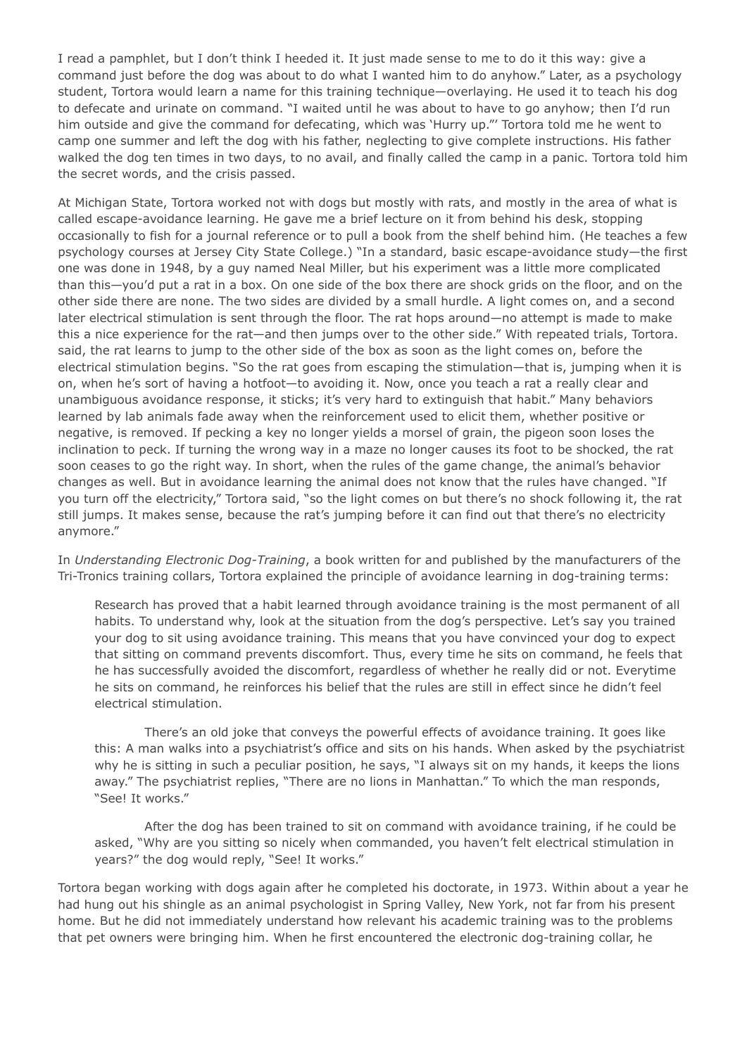I read a pamphlet, but I don't think I heeded it. It just made sense to me to do it this way: give a command just before the dog was about to do what I wanted him to do anyhow." Later, as a psychology student, Tortora would learn a name for this training technique—overlaying. He used it to teach his dog to defecate and urinate on command. "I waited until he was about to have to go anyhow; then I'd run him outside and give the command for defecating, which was 'Hurry up."' Tortora told me he went to camp one summer and left the dog with his father, neglecting to give complete instructions. His father walked the dog ten times in two days, to no avail, and finally called the camp in a panic. Tortora told him the secret words, and the crisis passed.

At Michigan State, Tortora worked not with dogs but mostly with rats, and mostly in the area of what is called escape-avoidance learning. He gave me a brief lecture on it from behind his desk, stopping occasionally to fish for a journal reference or to pull a book from the shelf behind him. (He teaches a few psychology courses at Jersey City State College.) "In a standard, basic escape-avoidance study—the first one was done in 1948, by a guy named Neal Miller, but his experiment was a little more complicated than this—you'd put a rat in a box. On one side of the box there are shock grids on the floor, and on the other side there are none. The two sides are divided by a small hurdle. A light comes on, and a second later electrical stimulation is sent through the floor. The rat hops around—no attempt is made to make this a nice experience for the rat—and then jumps over to the other side." With repeated trials, Tortora. said, the rat learns to jump to the other side of the box as soon as the light comes on, before the electrical stimulation begins. "So the rat goes from escaping the stimulation—that is, jumping when it is on, when he's sort of having a hotfoot—to avoiding it. Now, once you teach a rat a really clear and unambiguous avoidance response, it sticks; it's very hard to extinguish that habit." Many behaviors learned by lab animals fade away when the reinforcement used to elicit them, whether positive or negative, is removed. If pecking a key no longer yields a morsel of grain, the pigeon soon loses the inclination to peck. If turning the wrong way in a maze no longer causes its foot to be shocked, the rat soon ceases to go the right way. In short, when the rules of the game change, the animal's behavior changes as well. But in avoidance learning the animal does not know that the rules have changed. "If you turn off the electricity," Tortora said, "so the light comes on but there's no shock following it, the rat still jumps. It makes sense, because the rat's jumping before it can find out that there's no electricity anymore."

In *Understanding Electronic Dog-Training*, a book written for and published by the manufacturers of the Tri-Tronics training collars, Tortora explained the principle of avoidance learning in dog-training terms:

Research has proved that a habit learned through avoidance training is the most permanent of all habits. To understand why, look at the situation from the dog's perspective. Let's say you trained your dog to sit using avoidance training. This means that you have convinced your dog to expect that sitting on command prevents discomfort. Thus, every time he sits on command, he feels that he has successfully avoided the discomfort, regardless of whether he really did or not. Everytime he sits on command, he reinforces his belief that the rules are still in effect since he didn't feel electrical stimulation.

 There's an old joke that conveys the powerful effects of avoidance training. It goes like this: A man walks into a psychiatrist's office and sits on his hands. When asked by the psychiatrist why he is sitting in such a peculiar position, he says, "I always sit on my hands, it keeps the lions away." The psychiatrist replies, "There are no lions in Manhattan." To which the man responds, "See! It works."

 After the dog has been trained to sit on command with avoidance training, if he could be asked, "Why are you sitting so nicely when commanded, you haven't felt electrical stimulation in years?" the dog would reply, "See! It works."

Tortora began working with dogs again after he completed his doctorate, in 1973. Within about a year he had hung out his shingle as an animal psychologist in Spring Valley, New York, not far from his present home. But he did not immediately understand how relevant his academic training was to the problems that pet owners were bringing him. When he first encountered the electronic dog-training collar, he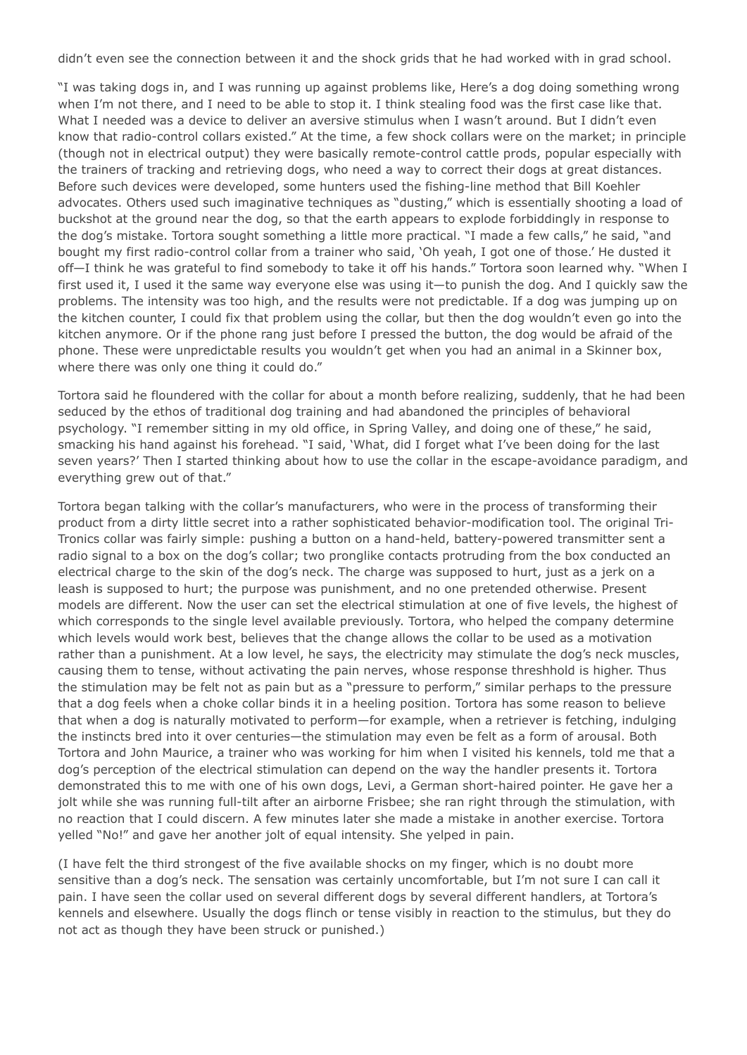didn't even see the connection between it and the shock grids that he had worked with in grad school.

"I was taking dogs in, and I was running up against problems like, Here's a dog doing something wrong when I'm not there, and I need to be able to stop it. I think stealing food was the first case like that. What I needed was a device to deliver an aversive stimulus when I wasn't around. But I didn't even know that radio-control collars existed." At the time, a few shock collars were on the market; in principle (though not in electrical output) they were basically remote-control cattle prods, popular especially with the trainers of tracking and retrieving dogs, who need a way to correct their dogs at great distances. Before such devices were developed, some hunters used the fishing-line method that Bill Koehler advocates. Others used such imaginative techniques as "dusting," which is essentially shooting a load of buckshot at the ground near the dog, so that the earth appears to explode forbiddingly in response to the dog's mistake. Tortora sought something a little more practical. "I made a few calls," he said, "and bought my first radio-control collar from a trainer who said, 'Oh yeah, I got one of those.' He dusted it off—I think he was grateful to find somebody to take it off his hands." Tortora soon learned why. "When I first used it, I used it the same way everyone else was using it—to punish the dog. And I quickly saw the problems. The intensity was too high, and the results were not predictable. If a dog was jumping up on the kitchen counter, I could fix that problem using the collar, but then the dog wouldn't even go into the kitchen anymore. Or if the phone rang just before I pressed the button, the dog would be afraid of the phone. These were unpredictable results you wouldn't get when you had an animal in a Skinner box, where there was only one thing it could do."

Tortora said he floundered with the collar for about a month before realizing, suddenly, that he had been seduced by the ethos of traditional dog training and had abandoned the principles of behavioral psychology. "I remember sitting in my old office, in Spring Valley, and doing one of these," he said, smacking his hand against his forehead. "I said, 'What, did I forget what I've been doing for the last seven years?' Then I started thinking about how to use the collar in the escape-avoidance paradigm, and everything grew out of that."

Tortora began talking with the collar's manufacturers, who were in the process of transforming their product from a dirty little secret into a rather sophisticated behavior-modification tool. The original Tri-Tronics collar was fairly simple: pushing a button on a hand-held, battery-powered transmitter sent a radio signal to a box on the dog's collar; two pronglike contacts protruding from the box conducted an electrical charge to the skin of the dog's neck. The charge was supposed to hurt, just as a jerk on a leash is supposed to hurt; the purpose was punishment, and no one pretended otherwise. Present models are different. Now the user can set the electrical stimulation at one of five levels, the highest of which corresponds to the single level available previously. Tortora, who helped the company determine which levels would work best, believes that the change allows the collar to be used as a motivation rather than a punishment. At a low level, he says, the electricity may stimulate the dog's neck muscles, causing them to tense, without activating the pain nerves, whose response threshhold is higher. Thus the stimulation may be felt not as pain but as a "pressure to perform," similar perhaps to the pressure that a dog feels when a choke collar binds it in a heeling position. Tortora has some reason to believe that when a dog is naturally motivated to perform—for example, when a retriever is fetching, indulging the instincts bred into it over centuries—the stimulation may even be felt as a form of arousal. Both Tortora and John Maurice, a trainer who was working for him when I visited his kennels, told me that a dog's perception of the electrical stimulation can depend on the way the handler presents it. Tortora demonstrated this to me with one of his own dogs, Levi, a German short-haired pointer. He gave her a jolt while she was running full-tilt after an airborne Frisbee; she ran right through the stimulation, with no reaction that I could discern. A few minutes later she made a mistake in another exercise. Tortora yelled "No!" and gave her another jolt of equal intensity. She yelped in pain.

(I have felt the third strongest of the five available shocks on my finger, which is no doubt more sensitive than a dog's neck. The sensation was certainly uncomfortable, but I'm not sure I can call it pain. I have seen the collar used on several different dogs by several different handlers, at Tortora's kennels and elsewhere. Usually the dogs flinch or tense visibly in reaction to the stimulus, but they do not act as though they have been struck or punished.)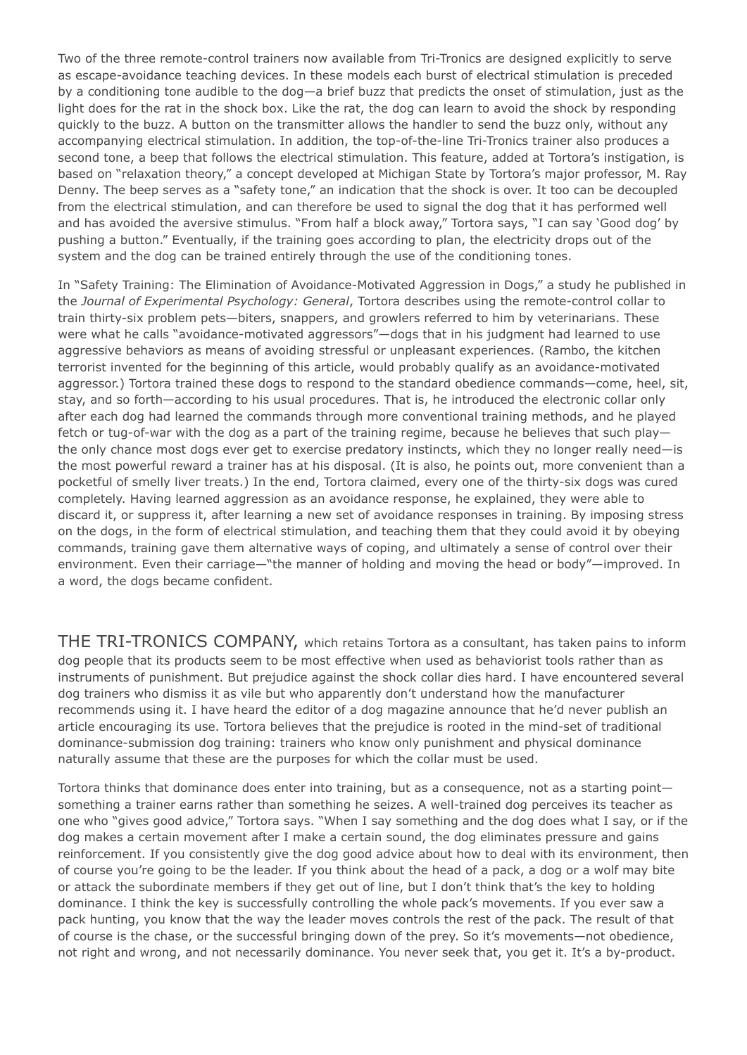Two of the three remote-control trainers now available from Tri-Tronics are designed explicitly to serve as escape-avoidance teaching devices. In these models each burst of electrical stimulation is preceded by a conditioning tone audible to the dog—a brief buzz that predicts the onset of stimulation, just as the light does for the rat in the shock box. Like the rat, the dog can learn to avoid the shock by responding quickly to the buzz. A button on the transmitter allows the handler to send the buzz only, without any accompanying electrical stimulation. In addition, the top-of-the-line Tri-Tronics trainer also produces a second tone, a beep that follows the electrical stimulation. This feature, added at Tortora's instigation, is based on "relaxation theory," a concept developed at Michigan State by Tortora's major professor, M. Ray Denny. The beep serves as a "safety tone," an indication that the shock is over. It too can be decoupled from the electrical stimulation, and can therefore be used to signal the dog that it has performed well and has avoided the aversive stimulus. "From half a block away," Tortora says, "I can say 'Good dog' by pushing a button." Eventually, if the training goes according to plan, the electricity drops out of the system and the dog can be trained entirely through the use of the conditioning tones.

In "Safety Training: The Elimination of Avoidance-Motivated Aggression in Dogs," a study he published in the *Journal of Experimental Psychology: General*, Tortora describes using the remote-control collar to train thirty-six problem pets—biters, snappers, and growlers referred to him by veterinarians. These were what he calls "avoidance-motivated aggressors"—dogs that in his judgment had learned to use aggressive behaviors as means of avoiding stressful or unpleasant experiences. (Rambo, the kitchen terrorist invented for the beginning of this article, would probably qualify as an avoidance-motivated aggressor.) Tortora trained these dogs to respond to the standard obedience commands—come, heel, sit, stay, and so forth—according to his usual procedures. That is, he introduced the electronic collar only after each dog had learned the commands through more conventional training methods, and he played fetch or tug-of-war with the dog as a part of the training regime, because he believes that such play the only chance most dogs ever get to exercise predatory instincts, which they no longer really need—is the most powerful reward a trainer has at his disposal. (It is also, he points out, more convenient than a pocketful of smelly liver treats.) In the end, Tortora claimed, every one of the thirty-six dogs was cured completely. Having learned aggression as an avoidance response, he explained, they were able to discard it, or suppress it, after learning a new set of avoidance responses in training. By imposing stress on the dogs, in the form of electrical stimulation, and teaching them that they could avoid it by obeying commands, training gave them alternative ways of coping, and ultimately a sense of control over their environment. Even their carriage—"the manner of holding and moving the head or body"—improved. In a word, the dogs became confident.

THE TRI-TRONICS COMPANY, which retains Tortora as a consultant, has taken pains to inform dog people that its products seem to be most effective when used as behaviorist tools rather than as instruments of punishment. But prejudice against the shock collar dies hard. I have encountered several dog trainers who dismiss it as vile but who apparently don't understand how the manufacturer recommends using it. I have heard the editor of a dog magazine announce that he'd never publish an article encouraging its use. Tortora believes that the prejudice is rooted in the mind-set of traditional dominance-submission dog training: trainers who know only punishment and physical dominance naturally assume that these are the purposes for which the collar must be used.

Tortora thinks that dominance does enter into training, but as a consequence, not as a starting point something a trainer earns rather than something he seizes. A well-trained dog perceives its teacher as one who "gives good advice," Tortora says. "When I say something and the dog does what I say, or if the dog makes a certain movement after I make a certain sound, the dog eliminates pressure and gains reinforcement. If you consistently give the dog good advice about how to deal with its environment, then of course you're going to be the leader. If you think about the head of a pack, a dog or a wolf may bite or attack the subordinate members if they get out of line, but I don't think that's the key to holding dominance. I think the key is successfully controlling the whole pack's movements. If you ever saw a pack hunting, you know that the way the leader moves controls the rest of the pack. The result of that of course is the chase, or the successful bringing down of the prey. So it's movements—not obedience, not right and wrong, and not necessarily dominance. You never seek that, you get it. It's a by-product.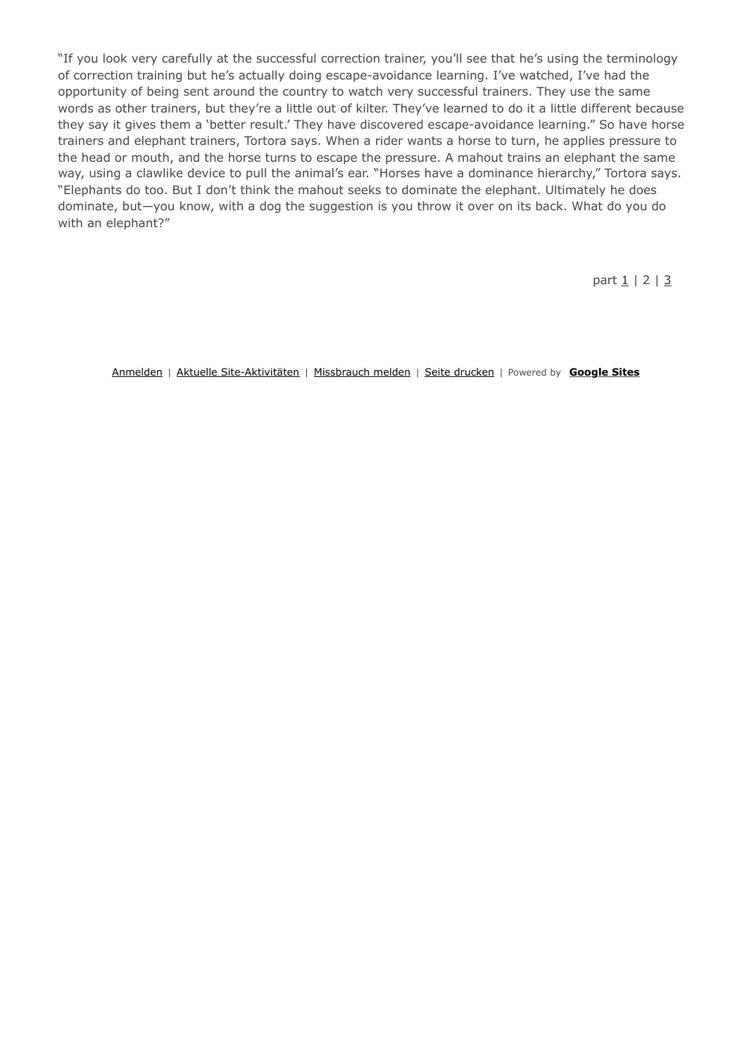"If you look very carefully at the successful correction trainer, you'll see that he's using the terminology of correction training but he's actually doing escape-avoidance learning. I've watched, I've had the opportunity of being sent around the country to watch very successful trainers. They use the same words as other trainers, but they're a little out of kilter. They've learned to do it a little different because they say it gives them a 'better result.' They have discovered escape-avoidance learning." So have horse trainers and elephant trainers, Tortora says. When a rider wants a horse to turn, he applies pressure to the head or mouth, and the horse turns to escape the pressure. A mahout trains an elephant the same way, using a clawlike device to pull the animal's ear. "Horses have a dominance hierarchy," Tortora says. "Elephants do too. But I don't think the mahout seeks to dominate the elephant. Ultimately he does dominate, but—you know, with a dog the suggestion is you throw it over on its back. What do you do with an elephant?"

part  $1 / 2 / 3$ 

Anmelden | Aktuelle Site-Aktivitäten | Missbrauch melden | Seite drucken | Powered by **Google Sites**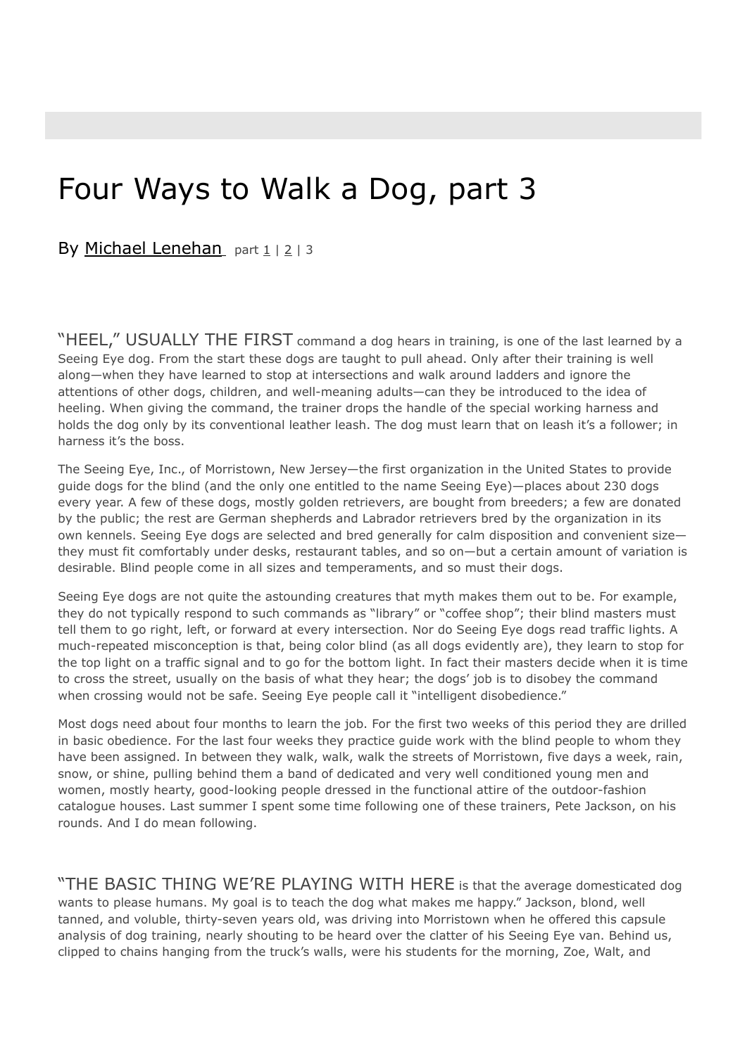# Four Ways to Walk a Dog, part 3

By Michael Lenehan part 1 | 2 | 3

"HEEL," USUALLY THE FIRST command a dog hears in training, is one of the last learned by a Seeing Eye dog. From the start these dogs are taught to pull ahead. Only after their training is well along—when they have learned to stop at intersections and walk around ladders and ignore the attentions of other dogs, children, and well-meaning adults—can they be introduced to the idea of heeling. When giving the command, the trainer drops the handle of the special working harness and holds the dog only by its conventional leather leash. The dog must learn that on leash it's a follower; in harness it's the boss.

The Seeing Eye, Inc., of Morristown, New Jersey—the first organization in the United States to provide guide dogs for the blind (and the only one entitled to the name Seeing Eye)—places about 230 dogs every year. A few of these dogs, mostly golden retrievers, are bought from breeders; a few are donated by the public; the rest are German shepherds and Labrador retrievers bred by the organization in its own kennels. Seeing Eye dogs are selected and bred generally for calm disposition and convenient size they must fit comfortably under desks, restaurant tables, and so on—but a certain amount of variation is desirable. Blind people come in all sizes and temperaments, and so must their dogs.

Seeing Eye dogs are not quite the astounding creatures that myth makes them out to be. For example, they do not typically respond to such commands as "library" or "coffee shop"; their blind masters must tell them to go right, left, or forward at every intersection. Nor do Seeing Eye dogs read traffic lights. A much-repeated misconception is that, being color blind (as all dogs evidently are), they learn to stop for the top light on a traffic signal and to go for the bottom light. In fact their masters decide when it is time to cross the street, usually on the basis of what they hear; the dogs' job is to disobey the command when crossing would not be safe. Seeing Eye people call it "intelligent disobedience."

Most dogs need about four months to learn the job. For the first two weeks of this period they are drilled in basic obedience. For the last four weeks they practice guide work with the blind people to whom they have been assigned. In between they walk, walk, walk the streets of Morristown, five days a week, rain, snow, or shine, pulling behind them a band of dedicated and very well conditioned young men and women, mostly hearty, good-looking people dressed in the functional attire of the outdoor-fashion catalogue houses. Last summer I spent some time following one of these trainers, Pete Jackson, on his rounds. And I do mean following.

"THE BASIC THING WE'RE PLAYING WITH HERE is that the average domesticated dog wants to please humans. My goal is to teach the dog what makes me happy." Jackson, blond, well tanned, and voluble, thirty-seven years old, was driving into Morristown when he offered this capsule analysis of dog training, nearly shouting to be heard over the clatter of his Seeing Eye van. Behind us, clipped to chains hanging from the truck's walls, were his students for the morning, Zoe, Walt, and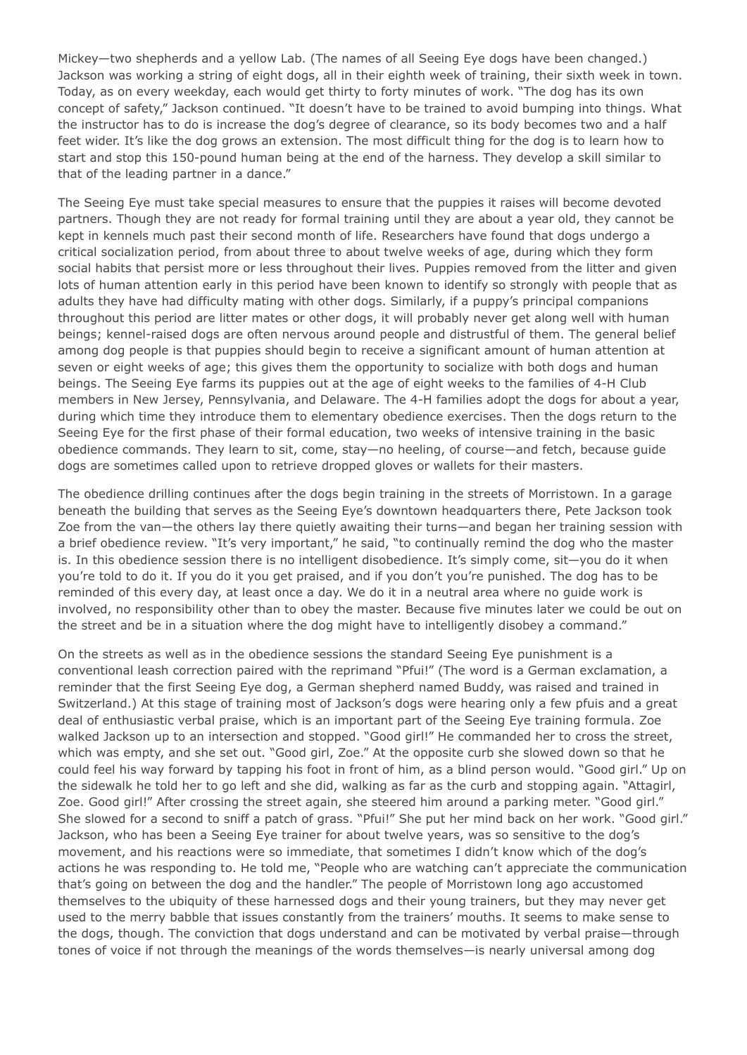Mickey—two shepherds and a yellow Lab. (The names of all Seeing Eye dogs have been changed.) Jackson was working a string of eight dogs, all in their eighth week of training, their sixth week in town. Today, as on every weekday, each would get thirty to forty minutes of work. "The dog has its own concept of safety," Jackson continued. "It doesn't have to be trained to avoid bumping into things. What the instructor has to do is increase the dog's degree of clearance, so its body becomes two and a half feet wider. It's like the dog grows an extension. The most difficult thing for the dog is to learn how to start and stop this 150-pound human being at the end of the harness. They develop a skill similar to that of the leading partner in a dance."

The Seeing Eye must take special measures to ensure that the puppies it raises will become devoted partners. Though they are not ready for formal training until they are about a year old, they cannot be kept in kennels much past their second month of life. Researchers have found that dogs undergo a critical socialization period, from about three to about twelve weeks of age, during which they form social habits that persist more or less throughout their lives. Puppies removed from the litter and given lots of human attention early in this period have been known to identify so strongly with people that as adults they have had difficulty mating with other dogs. Similarly, if a puppy's principal companions throughout this period are litter mates or other dogs, it will probably never get along well with human beings; kennel-raised dogs are often nervous around people and distrustful of them. The general belief among dog people is that puppies should begin to receive a significant amount of human attention at seven or eight weeks of age; this gives them the opportunity to socialize with both dogs and human beings. The Seeing Eye farms its puppies out at the age of eight weeks to the families of 4-H Club members in New Jersey, Pennsylvania, and Delaware. The 4-H families adopt the dogs for about a year, during which time they introduce them to elementary obedience exercises. Then the dogs return to the Seeing Eye for the first phase of their formal education, two weeks of intensive training in the basic obedience commands. They learn to sit, come, stay—no heeling, of course—and fetch, because guide dogs are sometimes called upon to retrieve dropped gloves or wallets for their masters.

The obedience drilling continues after the dogs begin training in the streets of Morristown. In a garage beneath the building that serves as the Seeing Eye's downtown headquarters there, Pete Jackson took Zoe from the van—the others lay there quietly awaiting their turns—and began her training session with a brief obedience review. "It's very important," he said, "to continually remind the dog who the master is. In this obedience session there is no intelligent disobedience. It's simply come, sit—you do it when you're told to do it. If you do it you get praised, and if you don't you're punished. The dog has to be reminded of this every day, at least once a day. We do it in a neutral area where no guide work is involved, no responsibility other than to obey the master. Because five minutes later we could be out on the street and be in a situation where the dog might have to intelligently disobey a command."

On the streets as well as in the obedience sessions the standard Seeing Eye punishment is a conventional leash correction paired with the reprimand "Pfui!" (The word is a German exclamation, a reminder that the first Seeing Eye dog, a German shepherd named Buddy, was raised and trained in Switzerland.) At this stage of training most of Jackson's dogs were hearing only a few pfuis and a great deal of enthusiastic verbal praise, which is an important part of the Seeing Eye training formula. Zoe walked Jackson up to an intersection and stopped. "Good girl!" He commanded her to cross the street, which was empty, and she set out. "Good girl, Zoe." At the opposite curb she slowed down so that he could feel his way forward by tapping his foot in front of him, as a blind person would. "Good girl." Up on the sidewalk he told her to go left and she did, walking as far as the curb and stopping again. "Attagirl, Zoe. Good girl!" After crossing the street again, she steered him around a parking meter. "Good girl." She slowed for a second to sniff a patch of grass. "Pfui!" She put her mind back on her work. "Good girl." Jackson, who has been a Seeing Eye trainer for about twelve years, was so sensitive to the dog's movement, and his reactions were so immediate, that sometimes I didn't know which of the dog's actions he was responding to. He told me, "People who are watching can't appreciate the communication that's going on between the dog and the handler." The people of Morristown long ago accustomed themselves to the ubiquity of these harnessed dogs and their young trainers, but they may never get used to the merry babble that issues constantly from the trainers' mouths. It seems to make sense to the dogs, though. The conviction that dogs understand and can be motivated by verbal praise—through tones of voice if not through the meanings of the words themselves—is nearly universal among dog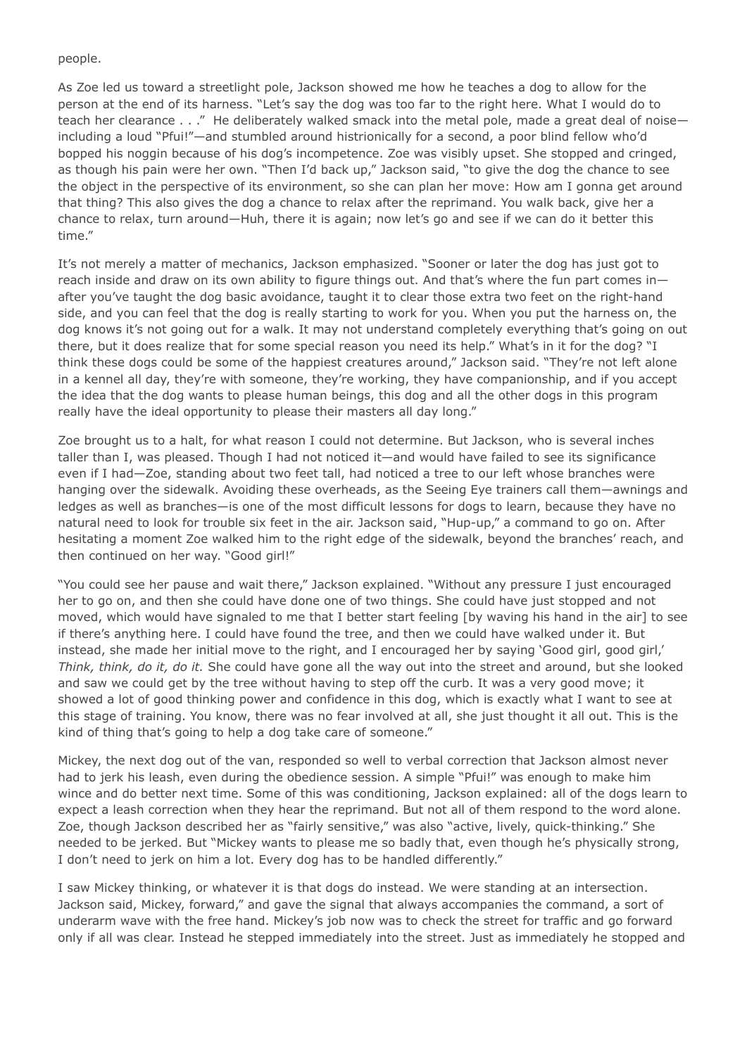#### people.

As Zoe led us toward a streetlight pole, Jackson showed me how he teaches a dog to allow for the person at the end of its harness. "Let's say the dog was too far to the right here. What I would do to teach her clearance . . ." He deliberately walked smack into the metal pole, made a great deal of noiseincluding a loud "Pfui!"—and stumbled around histrionically for a second, a poor blind fellow who'd bopped his noggin because of his dog's incompetence. Zoe was visibly upset. She stopped and cringed, as though his pain were her own. "Then I'd back up," Jackson said, "to give the dog the chance to see the object in the perspective of its environment, so she can plan her move: How am I gonna get around that thing? This also gives the dog a chance to relax after the reprimand. You walk back, give her a chance to relax, turn around—Huh, there it is again; now let's go and see if we can do it better this time."

It's not merely a matter of mechanics, Jackson emphasized. "Sooner or later the dog has just got to reach inside and draw on its own ability to figure things out. And that's where the fun part comes inafter you've taught the dog basic avoidance, taught it to clear those extra two feet on the right-hand side, and you can feel that the dog is really starting to work for you. When you put the harness on, the dog knows it's not going out for a walk. It may not understand completely everything that's going on out there, but it does realize that for some special reason you need its help." What's in it for the dog? "I think these dogs could be some of the happiest creatures around," Jackson said. "They're not left alone in a kennel all day, they're with someone, they're working, they have companionship, and if you accept the idea that the dog wants to please human beings, this dog and all the other dogs in this program really have the ideal opportunity to please their masters all day long."

Zoe brought us to a halt, for what reason I could not determine. But Jackson, who is several inches taller than I, was pleased. Though I had not noticed it—and would have failed to see its significance even if I had—Zoe, standing about two feet tall, had noticed a tree to our left whose branches were hanging over the sidewalk. Avoiding these overheads, as the Seeing Eye trainers call them—awnings and ledges as well as branches—is one of the most difficult lessons for dogs to learn, because they have no natural need to look for trouble six feet in the air. Jackson said, "Hup-up," a command to go on. After hesitating a moment Zoe walked him to the right edge of the sidewalk, beyond the branches' reach, and then continued on her way. "Good girl!"

"You could see her pause and wait there," Jackson explained. "Without any pressure I just encouraged her to go on, and then she could have done one of two things. She could have just stopped and not moved, which would have signaled to me that I better start feeling [by waving his hand in the air] to see if there's anything here. I could have found the tree, and then we could have walked under it. But instead, she made her initial move to the right, and I encouraged her by saying 'Good girl, good girl,' *Think, think, do it, do it.* She could have gone all the way out into the street and around, but she looked and saw we could get by the tree without having to step off the curb. It was a very good move; it showed a lot of good thinking power and confidence in this dog, which is exactly what I want to see at this stage of training. You know, there was no fear involved at all, she just thought it all out. This is the kind of thing that's going to help a dog take care of someone."

Mickey, the next dog out of the van, responded so well to verbal correction that Jackson almost never had to jerk his leash, even during the obedience session. A simple "Pfui!" was enough to make him wince and do better next time. Some of this was conditioning, Jackson explained: all of the dogs learn to expect a leash correction when they hear the reprimand. But not all of them respond to the word alone. Zoe, though Jackson described her as "fairly sensitive," was also "active, lively, quick-thinking." She needed to be jerked. But "Mickey wants to please me so badly that, even though he's physically strong, I don't need to jerk on him a lot. Every dog has to be handled differently."

I saw Mickey thinking, or whatever it is that dogs do instead. We were standing at an intersection. Jackson said, Mickey, forward," and gave the signal that always accompanies the command, a sort of underarm wave with the free hand. Mickey's job now was to check the street for traffic and go forward only if all was clear. Instead he stepped immediately into the street. Just as immediately he stopped and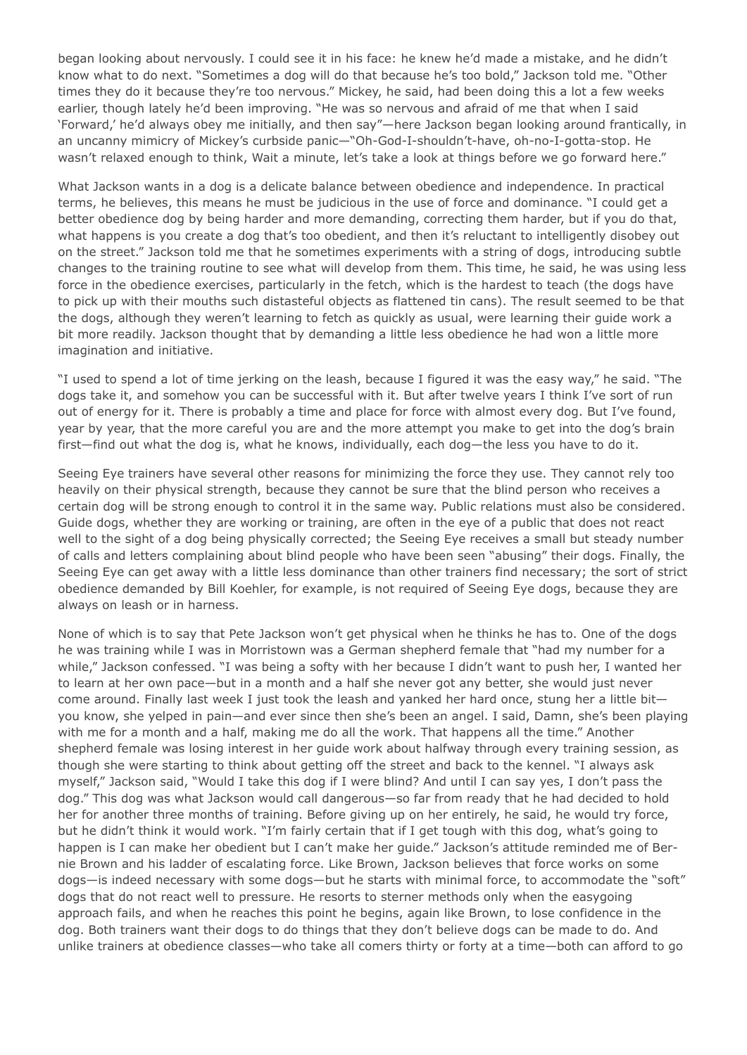began looking about nervously. I could see it in his face: he knew he'd made a mistake, and he didn't know what to do next. "Sometimes a dog will do that because he's too bold," Jackson told me. "Other times they do it because they're too nervous." Mickey, he said, had been doing this a lot a few weeks earlier, though lately he'd been improving. "He was so nervous and afraid of me that when I said 'Forward,' he'd always obey me initially, and then say"—here Jackson began looking around frantically, in an uncanny mimicry of Mickey's curbside panic—"Oh-God-I-shouldn't-have, oh-no-I-gotta-stop. He wasn't relaxed enough to think, Wait a minute, let's take a look at things before we go forward here."

What Jackson wants in a dog is a delicate balance between obedience and independence. In practical terms, he believes, this means he must be judicious in the use of force and dominance. "I could get a better obedience dog by being harder and more demanding, correcting them harder, but if you do that, what happens is you create a dog that's too obedient, and then it's reluctant to intelligently disobey out on the street." Jackson told me that he sometimes experiments with a string of dogs, introducing subtle changes to the training routine to see what will develop from them. This time, he said, he was using less force in the obedience exercises, particularly in the fetch, which is the hardest to teach (the dogs have to pick up with their mouths such distasteful objects as flattened tin cans). The result seemed to be that the dogs, although they weren't learning to fetch as quickly as usual, were learning their guide work a bit more readily. Jackson thought that by demanding a little less obedience he had won a little more imagination and initiative.

"I used to spend a lot of time jerking on the leash, because I figured it was the easy way," he said. "The dogs take it, and somehow you can be successful with it. But after twelve years I think I've sort of run out of energy for it. There is probably a time and place for force with almost every dog. But I've found, year by year, that the more careful you are and the more attempt you make to get into the dog's brain first—find out what the dog is, what he knows, individually, each dog—the less you have to do it.

Seeing Eye trainers have several other reasons for minimizing the force they use. They cannot rely too heavily on their physical strength, because they cannot be sure that the blind person who receives a certain dog will be strong enough to control it in the same way. Public relations must also be considered. Guide dogs, whether they are working or training, are often in the eye of a public that does not react well to the sight of a dog being physically corrected; the Seeing Eye receives a small but steady number of calls and letters complaining about blind people who have been seen "abusing" their dogs. Finally, the Seeing Eye can get away with a little less dominance than other trainers find necessary; the sort of strict obedience demanded by Bill Koehler, for example, is not required of Seeing Eye dogs, because they are always on leash or in harness.

None of which is to say that Pete Jackson won't get physical when he thinks he has to. One of the dogs he was training while I was in Morristown was a German shepherd female that "had my number for a while," Jackson confessed. "I was being a softy with her because I didn't want to push her, I wanted her to learn at her own pace—but in a month and a half she never got any better, she would just never come around. Finally last week I just took the leash and yanked her hard once, stung her a little bit you know, she yelped in pain—and ever since then she's been an angel. I said, Damn, she's been playing with me for a month and a half, making me do all the work. That happens all the time." Another shepherd female was losing interest in her guide work about halfway through every training session, as though she were starting to think about getting off the street and back to the kennel. "I always ask myself," Jackson said, "Would I take this dog if I were blind? And until I can say yes, I don't pass the dog." This dog was what Jackson would call dangerous—so far from ready that he had decided to hold her for another three months of training. Before giving up on her entirely, he said, he would try force, but he didn't think it would work. "I'm fairly certain that if I get tough with this dog, what's going to happen is I can make her obedient but I can't make her guide." Jackson's attitude reminded me of Bernie Brown and his ladder of escalating force. Like Brown, Jackson believes that force works on some dogs—is indeed necessary with some dogs—but he starts with minimal force, to accommodate the "soft" dogs that do not react well to pressure. He resorts to sterner methods only when the easygoing approach fails, and when he reaches this point he begins, again like Brown, to lose confidence in the dog. Both trainers want their dogs to do things that they don't believe dogs can be made to do. And unlike trainers at obedience classes—who take all comers thirty or forty at a time—both can afford to go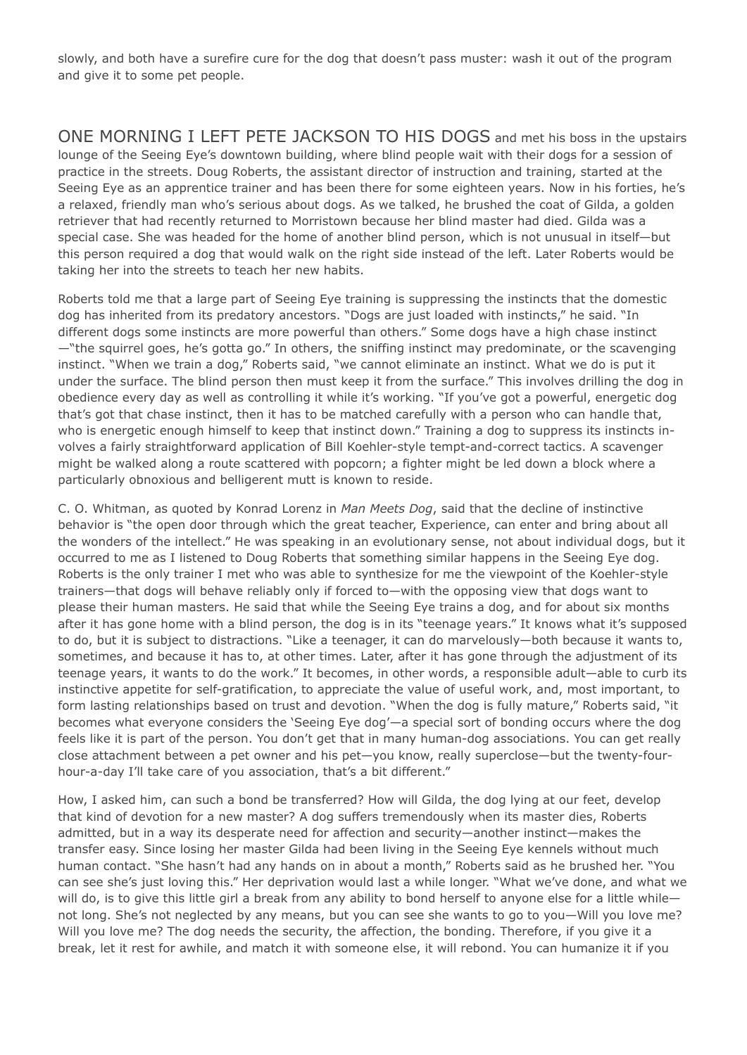slowly, and both have a surefire cure for the dog that doesn't pass muster: wash it out of the program and give it to some pet people.

ONE MORNING I LEFT PETE JACKSON TO HIS DOGS and met his boss in the upstairs lounge of the Seeing Eye's downtown building, where blind people wait with their dogs for a session of practice in the streets. Doug Roberts, the assistant director of instruction and training, started at the Seeing Eye as an apprentice trainer and has been there for some eighteen years. Now in his forties, he's a relaxed, friendly man who's serious about dogs. As we talked, he brushed the coat of Gilda, a golden retriever that had recently returned to Morristown because her blind master had died. Gilda was a special case. She was headed for the home of another blind person, which is not unusual in itself—but this person required a dog that would walk on the right side instead of the left. Later Roberts would be taking her into the streets to teach her new habits.

Roberts told me that a large part of Seeing Eye training is suppressing the instincts that the domestic dog has inherited from its predatory ancestors. "Dogs are just loaded with instincts," he said. "In different dogs some instincts are more powerful than others." Some dogs have a high chase instinct —"the squirrel goes, he's gotta go." In others, the sniffing instinct may predominate, or the scavenging instinct. "When we train a dog," Roberts said, "we cannot eliminate an instinct. What we do is put it under the surface. The blind person then must keep it from the surface." This involves drilling the dog in obedience every day as well as controlling it while it's working. "If you've got a powerful, energetic dog that's got that chase instinct, then it has to be matched carefully with a person who can handle that, who is energetic enough himself to keep that instinct down." Training a dog to suppress its instincts involves a fairly straightforward application of Bill Koehler-style tempt-and-correct tactics. A scavenger might be walked along a route scattered with popcorn; a fighter might be led down a block where a particularly obnoxious and belligerent mutt is known to reside.

C. O. Whitman, as quoted by Konrad Lorenz in *Man Meets Dog*, said that the decline of instinctive behavior is "the open door through which the great teacher, Experience, can enter and bring about all the wonders of the intellect." He was speaking in an evolutionary sense, not about individual dogs, but it occurred to me as I listened to Doug Roberts that something similar happens in the Seeing Eye dog. Roberts is the only trainer I met who was able to synthesize for me the viewpoint of the Koehler-style trainers—that dogs will behave reliably only if forced to—with the opposing view that dogs want to please their human masters. He said that while the Seeing Eye trains a dog, and for about six months after it has gone home with a blind person, the dog is in its "teenage years." It knows what it's supposed to do, but it is subject to distractions. "Like a teenager, it can do marvelously—both because it wants to, sometimes, and because it has to, at other times. Later, after it has gone through the adjustment of its teenage years, it wants to do the work." It becomes, in other words, a responsible adult—able to curb its instinctive appetite for self-gratification, to appreciate the value of useful work, and, most important, to form lasting relationships based on trust and devotion. "When the dog is fully mature," Roberts said, "it becomes what everyone considers the 'Seeing Eye dog'—a special sort of bonding occurs where the dog feels like it is part of the person. You don't get that in many human-dog associations. You can get really close attachment between a pet owner and his pet—you know, really superclose—but the twenty-fourhour-a-day I'll take care of you association, that's a bit different."

How, I asked him, can such a bond be transferred? How will Gilda, the dog lying at our feet, develop that kind of devotion for a new master? A dog suffers tremendously when its master dies, Roberts admitted, but in a way its desperate need for affection and security—another instinct—makes the transfer easy. Since losing her master Gilda had been living in the Seeing Eye kennels without much human contact. "She hasn't had any hands on in about a month," Roberts said as he brushed her. "You can see she's just loving this." Her deprivation would last a while longer. "What we've done, and what we will do, is to give this little girl a break from any ability to bond herself to anyone else for a little whilenot long. She's not neglected by any means, but you can see she wants to go to you—Will you love me? Will you love me? The dog needs the security, the affection, the bonding. Therefore, if you give it a break, let it rest for awhile, and match it with someone else, it will rebond. You can humanize it if you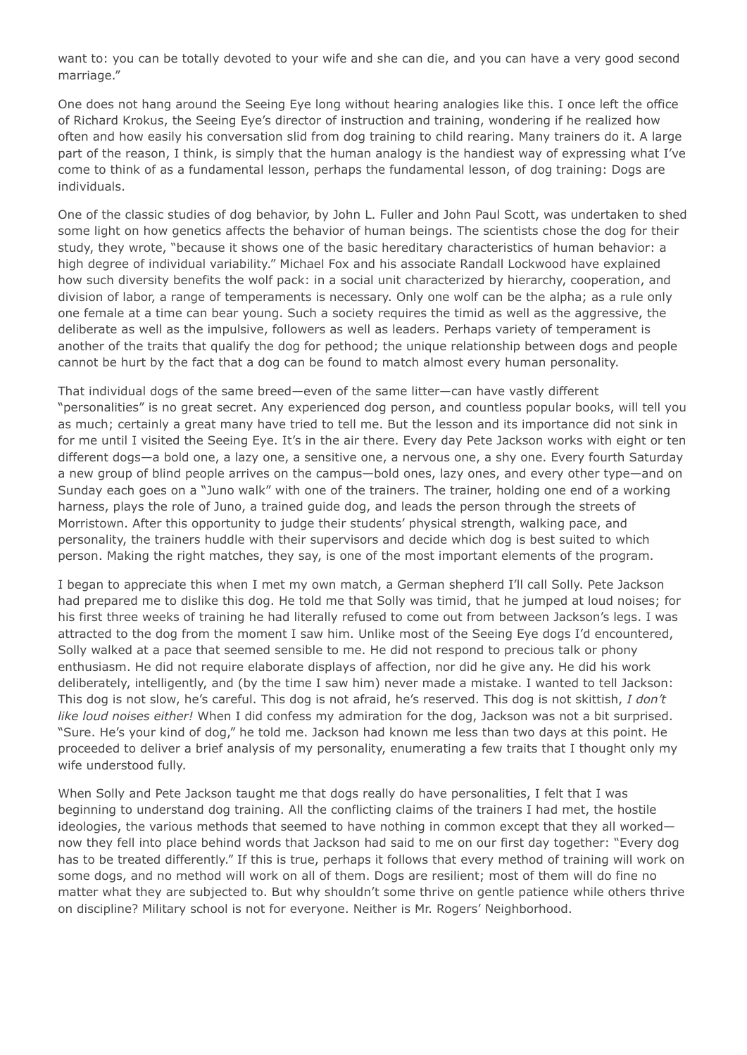want to: you can be totally devoted to your wife and she can die, and you can have a very good second marriage."

One does not hang around the Seeing Eye long without hearing analogies like this. I once left the office of Richard Krokus, the Seeing Eye's director of instruction and training, wondering if he realized how often and how easily his conversation slid from dog training to child rearing. Many trainers do it. A large part of the reason, I think, is simply that the human analogy is the handiest way of expressing what I've come to think of as a fundamental lesson, perhaps the fundamental lesson, of dog training: Dogs are individuals.

One of the classic studies of dog behavior, by John L. Fuller and John Paul Scott, was undertaken to shed some light on how genetics affects the behavior of human beings. The scientists chose the dog for their study, they wrote, "because it shows one of the basic hereditary characteristics of human behavior: a high degree of individual variability." Michael Fox and his associate Randall Lockwood have explained how such diversity benefits the wolf pack: in a social unit characterized by hierarchy, cooperation, and division of labor, a range of temperaments is necessary. Only one wolf can be the alpha; as a rule only one female at a time can bear young. Such a society requires the timid as well as the aggressive, the deliberate as well as the impulsive, followers as well as leaders. Perhaps variety of temperament is another of the traits that qualify the dog for pethood; the unique relationship between dogs and people cannot be hurt by the fact that a dog can be found to match almost every human personality.

That individual dogs of the same breed—even of the same litter—can have vastly different "personalities" is no great secret. Any experienced dog person, and countless popular books, will tell you as much; certainly a great many have tried to tell me. But the lesson and its importance did not sink in for me until I visited the Seeing Eye. It's in the air there. Every day Pete Jackson works with eight or ten different dogs—a bold one, a lazy one, a sensitive one, a nervous one, a shy one. Every fourth Saturday a new group of blind people arrives on the campus—bold ones, lazy ones, and every other type—and on Sunday each goes on a "Juno walk" with one of the trainers. The trainer, holding one end of a working harness, plays the role of Juno, a trained guide dog, and leads the person through the streets of Morristown. After this opportunity to judge their students' physical strength, walking pace, and personality, the trainers huddle with their supervisors and decide which dog is best suited to which person. Making the right matches, they say, is one of the most important elements of the program.

I began to appreciate this when I met my own match, a German shepherd I'll call Solly. Pete Jackson had prepared me to dislike this dog. He told me that Solly was timid, that he jumped at loud noises; for his first three weeks of training he had literally refused to come out from between Jackson's legs. I was attracted to the dog from the moment I saw him. Unlike most of the Seeing Eye dogs I'd encountered, Solly walked at a pace that seemed sensible to me. He did not respond to precious talk or phony enthusiasm. He did not require elaborate displays of affection, nor did he give any. He did his work deliberately, intelligently, and (by the time I saw him) never made a mistake. I wanted to tell Jackson: This dog is not slow, he's careful. This dog is not afraid, he's reserved. This dog is not skittish, *I don't like loud noises either!* When I did confess my admiration for the dog, Jackson was not a bit surprised. "Sure. He's your kind of dog," he told me. Jackson had known me less than two days at this point. He proceeded to deliver a brief analysis of my personality, enumerating a few traits that I thought only my wife understood fully.

When Solly and Pete Jackson taught me that dogs really do have personalities, I felt that I was beginning to understand dog training. All the conflicting claims of the trainers I had met, the hostile ideologies, the various methods that seemed to have nothing in common except that they all worked now they fell into place behind words that Jackson had said to me on our first day together: "Every dog has to be treated differently." If this is true, perhaps it follows that every method of training will work on some dogs, and no method will work on all of them. Dogs are resilient; most of them will do fine no matter what they are subjected to. But why shouldn't some thrive on gentle patience while others thrive on discipline? Military school is not for everyone. Neither is Mr. Rogers' Neighborhood.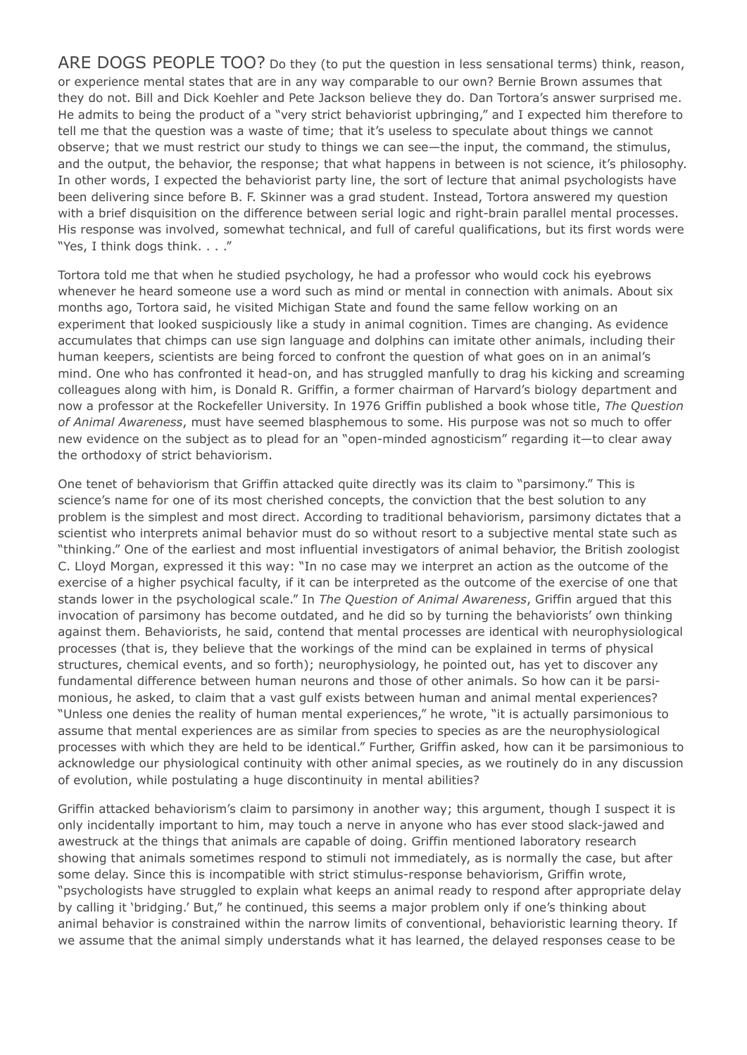ARE DOGS PEOPLE TOO? Do they (to put the question in less sensational terms) think, reason, or experience mental states that are in any way comparable to our own? Bernie Brown assumes that they do not. Bill and Dick Koehler and Pete Jackson believe they do. Dan Tortora's answer surprised me. He admits to being the product of a "very strict behaviorist upbringing," and I expected him therefore to tell me that the question was a waste of time; that it's useless to speculate about things we cannot observe; that we must restrict our study to things we can see—the input, the command, the stimulus, and the output, the behavior, the response; that what happens in between is not science, it's philosophy. In other words, I expected the behaviorist party line, the sort of lecture that animal psychologists have been delivering since before B. F. Skinner was a grad student. Instead, Tortora answered my question with a brief disquisition on the difference between serial logic and right-brain parallel mental processes. His response was involved, somewhat technical, and full of careful qualifications, but its first words were "Yes, I think dogs think. . . ."

Tortora told me that when he studied psychology, he had a professor who would cock his eyebrows whenever he heard someone use a word such as mind or mental in connection with animals. About six months ago, Tortora said, he visited Michigan State and found the same fellow working on an experiment that looked suspiciously like a study in animal cognition. Times are changing. As evidence accumulates that chimps can use sign language and dolphins can imitate other animals, including their human keepers, scientists are being forced to confront the question of what goes on in an animal's mind. One who has confronted it head-on, and has struggled manfully to drag his kicking and screaming colleagues along with him, is Donald R. Griffin, a former chairman of Harvard's biology department and now a professor at the Rockefeller University. In 1976 Griffin published a book whose title, *The Question of Animal Awareness*, must have seemed blasphemous to some. His purpose was not so much to offer new evidence on the subject as to plead for an "open-minded agnosticism" regarding it—to clear away the orthodoxy of strict behaviorism.

One tenet of behaviorism that Griffin attacked quite directly was its claim to "parsimony." This is science's name for one of its most cherished concepts, the conviction that the best solution to any problem is the simplest and most direct. According to traditional behaviorism, parsimony dictates that a scientist who interprets animal behavior must do so without resort to a subjective mental state such as "thinking." One of the earliest and most influential investigators of animal behavior, the British zoologist C. Lloyd Morgan, expressed it this way: "In no case may we interpret an action as the outcome of the exercise of a higher psychical faculty, if it can be interpreted as the outcome of the exercise of one that stands lower in the psychological scale." In *The Question of Animal Awareness*, Griffin argued that this invocation of parsimony has become outdated, and he did so by turning the behaviorists' own thinking against them. Behaviorists, he said, contend that mental processes are identical with neurophysiological processes (that is, they believe that the workings of the mind can be explained in terms of physical structures, chemical events, and so forth); neurophysiology, he pointed out, has yet to discover any fundamental difference between human neurons and those of other animals. So how can it be parsimonious, he asked, to claim that a vast gulf exists between human and animal mental experiences? "Unless one denies the reality of human mental experiences," he wrote, "it is actually parsimonious to assume that mental experiences are as similar from species to species as are the neurophysiological processes with which they are held to be identical." Further, Griffin asked, how can it be parsimonious to acknowledge our physiological continuity with other animal species, as we routinely do in any discussion of evolution, while postulating a huge discontinuity in mental abilities?

Griffin attacked behaviorism's claim to parsimony in another way; this argument, though I suspect it is only incidentally important to him, may touch a nerve in anyone who has ever stood slack-jawed and awestruck at the things that animals are capable of doing. Griffin mentioned laboratory research showing that animals sometimes respond to stimuli not immediately, as is normally the case, but after some delay. Since this is incompatible with strict stimulus-response behaviorism, Griffin wrote, "psychologists have struggled to explain what keeps an animal ready to respond after appropriate delay by calling it 'bridging.' But," he continued, this seems a major problem only if one's thinking about animal behavior is constrained within the narrow limits of conventional, behavioristic learning theory. If we assume that the animal simply understands what it has learned, the delayed responses cease to be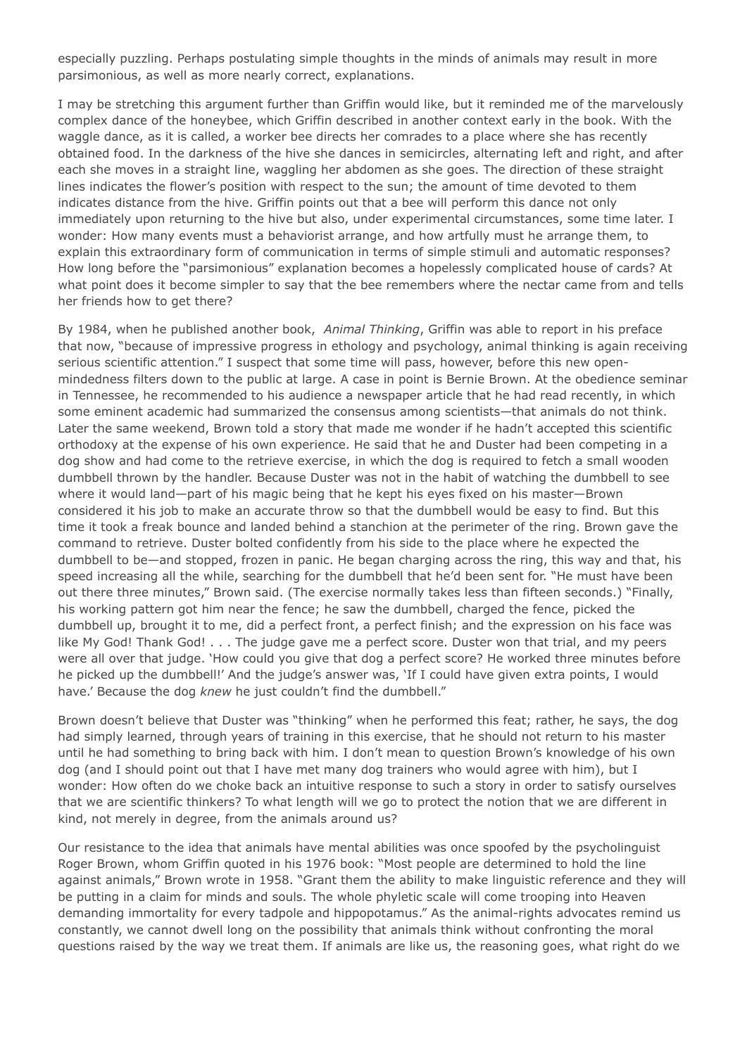especially puzzling. Perhaps postulating simple thoughts in the minds of animals may result in more parsimonious, as well as more nearly correct, explanations.

I may be stretching this argument further than Griffin would like, but it reminded me of the marvelously complex dance of the honeybee, which Griffin described in another context early in the book. With the waggle dance, as it is called, a worker bee directs her comrades to a place where she has recently obtained food. In the darkness of the hive she dances in semicircles, alternating left and right, and after each she moves in a straight line, waggling her abdomen as she goes. The direction of these straight lines indicates the flower's position with respect to the sun; the amount of time devoted to them indicates distance from the hive. Griffin points out that a bee will perform this dance not only immediately upon returning to the hive but also, under experimental circumstances, some time later. I wonder: How many events must a behaviorist arrange, and how artfully must he arrange them, to explain this extraordinary form of communication in terms of simple stimuli and automatic responses? How long before the "parsimonious" explanation becomes a hopelessly complicated house of cards? At what point does it become simpler to say that the bee remembers where the nectar came from and tells her friends how to get there?

By 1984, when he published another book, *Animal Thinking*, Griffin was able to report in his preface that now, "because of impressive progress in ethology and psychology, animal thinking is again receiving serious scientific attention." I suspect that some time will pass, however, before this new openmindedness filters down to the public at large. A case in point is Bernie Brown. At the obedience seminar in Tennessee, he recommended to his audience a newspaper article that he had read recently, in which some eminent academic had summarized the consensus among scientists—that animals do not think. Later the same weekend, Brown told a story that made me wonder if he hadn't accepted this scientific orthodoxy at the expense of his own experience. He said that he and Duster had been competing in a dog show and had come to the retrieve exercise, in which the dog is required to fetch a small wooden dumbbell thrown by the handler. Because Duster was not in the habit of watching the dumbbell to see where it would land—part of his magic being that he kept his eyes fixed on his master—Brown considered it his job to make an accurate throw so that the dumbbell would be easy to find. But this time it took a freak bounce and landed behind a stanchion at the perimeter of the ring. Brown gave the command to retrieve. Duster bolted confidently from his side to the place where he expected the dumbbell to be—and stopped, frozen in panic. He began charging across the ring, this way and that, his speed increasing all the while, searching for the dumbbell that he'd been sent for. "He must have been out there three minutes," Brown said. (The exercise normally takes less than fifteen seconds.) "Finally, his working pattern got him near the fence; he saw the dumbbell, charged the fence, picked the dumbbell up, brought it to me, did a perfect front, a perfect finish; and the expression on his face was like My God! Thank God! . . . The judge gave me a perfect score. Duster won that trial, and my peers were all over that judge. 'How could you give that dog a perfect score? He worked three minutes before he picked up the dumbbell!' And the judge's answer was, 'If I could have given extra points, I would have.' Because the dog *knew* he just couldn't find the dumbbell."

Brown doesn't believe that Duster was "thinking" when he performed this feat; rather, he says, the dog had simply learned, through years of training in this exercise, that he should not return to his master until he had something to bring back with him. I don't mean to question Brown's knowledge of his own dog (and I should point out that I have met many dog trainers who would agree with him), but I wonder: How often do we choke back an intuitive response to such a story in order to satisfy ourselves that we are scientific thinkers? To what length will we go to protect the notion that we are different in kind, not merely in degree, from the animals around us?

Our resistance to the idea that animals have mental abilities was once spoofed by the psycholinguist Roger Brown, whom Griffin quoted in his 1976 book: "Most people are determined to hold the line against animals," Brown wrote in 1958. "Grant them the ability to make linguistic reference and they will be putting in a claim for minds and souls. The whole phyletic scale will come trooping into Heaven demanding immortality for every tadpole and hippopotamus." As the animal-rights advocates remind us constantly, we cannot dwell long on the possibility that animals think without confronting the moral questions raised by the way we treat them. If animals are like us, the reasoning goes, what right do we